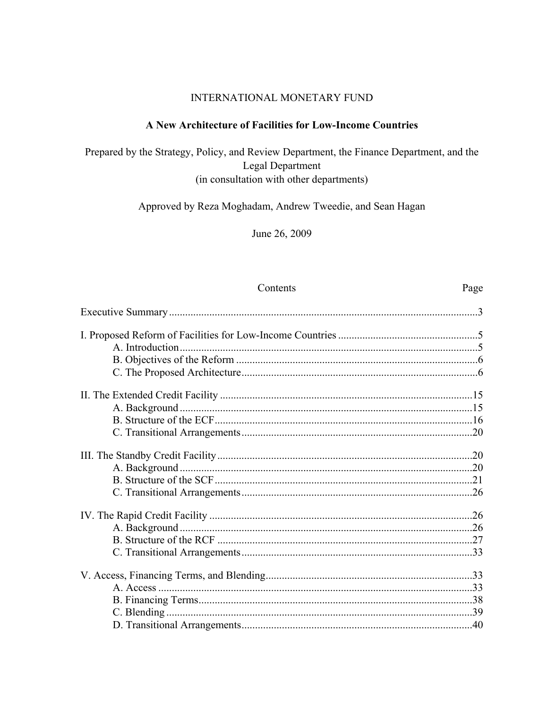#### INTERNATIONAL MONETARY FUND

## A New Architecture of Facilities for Low-Income Countries

Prepared by the Strategy, Policy, and Review Department, the Finance Department, and the Legal Department (in consultation with other departments)

Approved by Reza Moghadam, Andrew Tweedie, and Sean Hagan

June 26, 2009

## Contents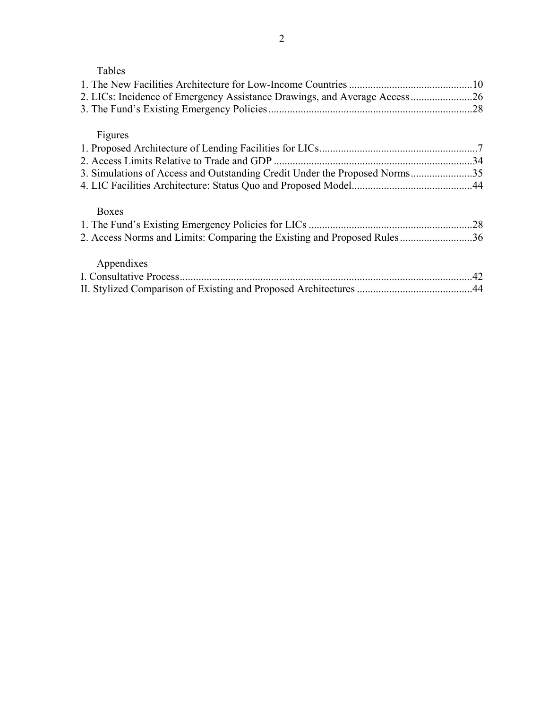| ור<br>аг | c |
|----------|---|
|          |   |

| 2. LICs: Incidence of Emergency Assistance Drawings, and Average Access26  |  |
|----------------------------------------------------------------------------|--|
|                                                                            |  |
| Figures                                                                    |  |
|                                                                            |  |
|                                                                            |  |
| 3. Simulations of Access and Outstanding Credit Under the Proposed Norms35 |  |
|                                                                            |  |
| <b>Boxes</b>                                                               |  |
|                                                                            |  |
| 2. Access Norms and Limits: Comparing the Existing and Proposed Rules36    |  |
| Appendixes                                                                 |  |
|                                                                            |  |
|                                                                            |  |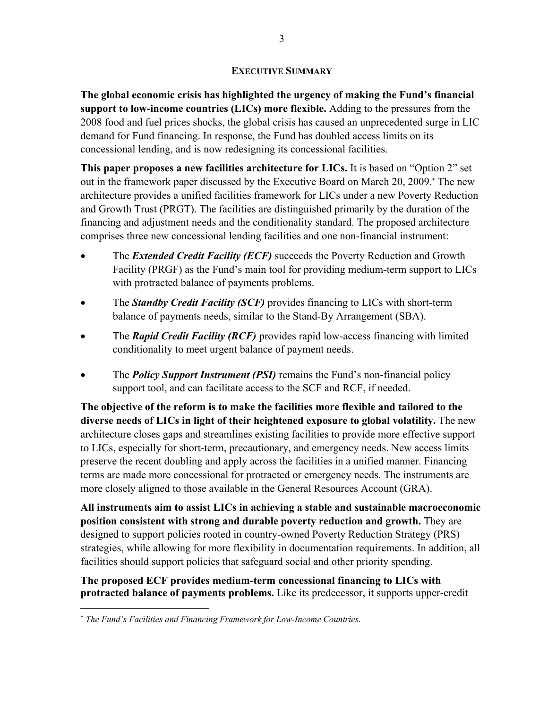### **EXECUTIVE SUMMARY**

**The global economic crisis has highlighted the urgency of making the Fund's financial support to low-income countries (LICs) more flexible.** Adding to the pressures from the 2008 food and fuel prices shocks, the global crisis has caused an unprecedented surge in LIC demand for Fund financing. In response, the Fund has doubled access limits on its concessional lending, and is now redesigning its concessional facilities.

**This paper proposes a new facilities architecture for LICs.** It is based on "Option 2" set out in the framework paper discussed by the Executive Board on March 20, 2009. The new architecture provides a unified facilities framework for LICs under a new Poverty Reduction and Growth Trust (PRGT). The facilities are distinguished primarily by the duration of the financing and adjustment needs and the conditionality standard. The proposed architecture comprises three new concessional lending facilities and one non-financial instrument:

- The *Extended Credit Facility (ECF)* succeeds the Poverty Reduction and Growth Facility (PRGF) as the Fund's main tool for providing medium-term support to LICs with protracted balance of payments problems.
- The *Standby Credit Facility (SCF)* provides financing to LICs with short-term balance of payments needs, similar to the Stand-By Arrangement (SBA).
- The *Rapid Credit Facility (RCF)* provides rapid low-access financing with limited conditionality to meet urgent balance of payment needs.
- The *Policy Support Instrument (PSI)* remains the Fund's non-financial policy support tool, and can facilitate access to the SCF and RCF, if needed.

**The objective of the reform is to make the facilities more flexible and tailored to the diverse needs of LICs in light of their heightened exposure to global volatility.** The new architecture closes gaps and streamlines existing facilities to provide more effective support to LICs, especially for short-term, precautionary, and emergency needs. New access limits preserve the recent doubling and apply across the facilities in a unified manner. Financing terms are made more concessional for protracted or emergency needs. The instruments are more closely aligned to those available in the General Resources Account (GRA).

**All instruments aim to assist LICs in achieving a stable and sustainable macroeconomic position consistent with strong and durable poverty reduction and growth.** They are designed to support policies rooted in country-owned Poverty Reduction Strategy (PRS) strategies, while allowing for more flexibility in documentation requirements. In addition, all facilities should support policies that safeguard social and other priority spending.

**The proposed ECF provides medium-term concessional financing to LICs with protracted balance of payments problems.** Like its predecessor, it supports upper-credit

1

*The Fund's Facilities and Financing Framework for Low-Income Countries*.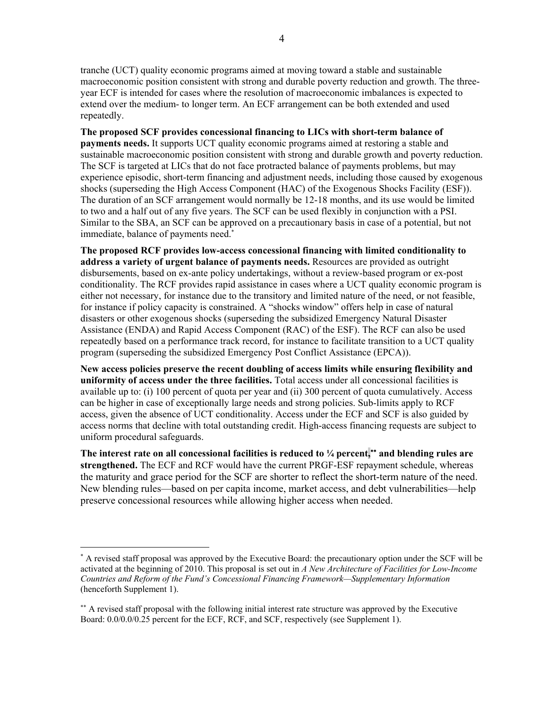tranche (UCT) quality economic programs aimed at moving toward a stable and sustainable macroeconomic position consistent with strong and durable poverty reduction and growth. The threeyear ECF is intended for cases where the resolution of macroeconomic imbalances is expected to extend over the medium- to longer term. An ECF arrangement can be both extended and used repeatedly.

**The proposed SCF provides concessional financing to LICs with short-term balance of payments needs.** It supports UCT quality economic programs aimed at restoring a stable and sustainable macroeconomic position consistent with strong and durable growth and poverty reduction. The SCF is targeted at LICs that do not face protracted balance of payments problems, but may experience episodic, short-term financing and adjustment needs, including those caused by exogenous shocks (superseding the High Access Component (HAC) of the Exogenous Shocks Facility (ESF)). The duration of an SCF arrangement would normally be 12-18 months, and its use would be limited to two and a half out of any five years. The SCF can be used flexibly in conjunction with a PSI. Similar to the SBA, an SCF can be approved on a precautionary basis in case of a potential, but not immediate, balance of payments need.

**The proposed RCF provides low-access concessional financing with limited conditionality to address a variety of urgent balance of payments needs.** Resources are provided as outright disbursements, based on ex-ante policy undertakings, without a review-based program or ex-post conditionality. The RCF provides rapid assistance in cases where a UCT quality economic program is either not necessary, for instance due to the transitory and limited nature of the need, or not feasible, for instance if policy capacity is constrained. A "shocks window" offers help in case of natural disasters or other exogenous shocks (superseding the subsidized Emergency Natural Disaster Assistance (ENDA) and Rapid Access Component (RAC) of the ESF). The RCF can also be used repeatedly based on a performance track record, for instance to facilitate transition to a UCT quality program (superseding the subsidized Emergency Post Conflict Assistance (EPCA)).

**New access policies preserve the recent doubling of access limits while ensuring flexibility and uniformity of access under the three facilities.** Total access under all concessional facilities is available up to: (i) 100 percent of quota per year and (ii) 300 percent of quota cumulatively. Access can be higher in case of exceptionally large needs and strong policies. Sub-limits apply to RCF access, given the absence of UCT conditionality. Access under the ECF and SCF is also guided by access norms that decline with total outstanding credit. High-access financing requests are subject to uniform procedural safeguards.

The interest rate on all concessional facilities is reduced to  $\frac{1}{4}$  percent,**<sup>\*\*</sup>** and blending rules are **strengthened.** The ECF and RCF would have the current PRGF-ESF repayment schedule, whereas the maturity and grace period for the SCF are shorter to reflect the short-term nature of the need. New blending rules—based on per capita income, market access, and debt vulnerabilities—help preserve concessional resources while allowing higher access when needed.

1

 A revised staff proposal was approved by the Executive Board: the precautionary option under the SCF will be activated at the beginning of 2010. This proposal is set out in *A New Architecture of Facilities for Low-Income Countries and Reform of the Fund's Concessional Financing Framework—Supplementary Information* (henceforth Supplement 1).

<sup>\*\*</sup> A revised staff proposal with the following initial interest rate structure was approved by the Executive Board:  $0.0/0.0/0.25$  percent for the ECF, RCF, and SCF, respectively (see Supplement 1).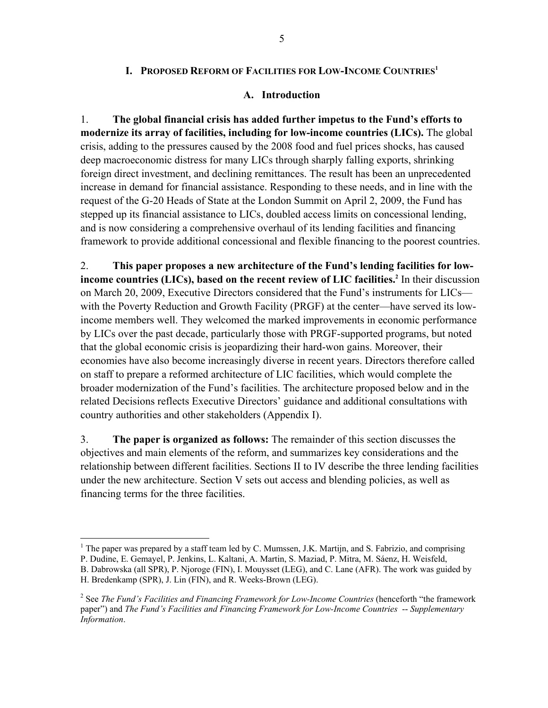## **I. PROPOSED REFORM OF FACILITIES FOR LOW-INCOME COUNTRIES1**

#### **A. Introduction**

1. **The global financial crisis has added further impetus to the Fund's efforts to modernize its array of facilities, including for low-income countries (LICs).** The global crisis, adding to the pressures caused by the 2008 food and fuel prices shocks, has caused deep macroeconomic distress for many LICs through sharply falling exports, shrinking foreign direct investment, and declining remittances. The result has been an unprecedented increase in demand for financial assistance. Responding to these needs, and in line with the request of the G-20 Heads of State at the London Summit on April 2, 2009, the Fund has stepped up its financial assistance to LICs, doubled access limits on concessional lending, and is now considering a comprehensive overhaul of its lending facilities and financing framework to provide additional concessional and flexible financing to the poorest countries.

2. **This paper proposes a new architecture of the Fund's lending facilities for lowincome countries (LICs), based on the recent review of LIC facilities.**<sup>2</sup> In their discussion on March 20, 2009, Executive Directors considered that the Fund's instruments for LICs with the Poverty Reduction and Growth Facility (PRGF) at the center—have served its lowincome members well. They welcomed the marked improvements in economic performance by LICs over the past decade, particularly those with PRGF-supported programs, but noted that the global economic crisis is jeopardizing their hard-won gains. Moreover, their economies have also become increasingly diverse in recent years. Directors therefore called on staff to prepare a reformed architecture of LIC facilities, which would complete the broader modernization of the Fund's facilities. The architecture proposed below and in the related Decisions reflects Executive Directors' guidance and additional consultations with country authorities and other stakeholders (Appendix I).

3. **The paper is organized as follows:** The remainder of this section discusses the objectives and main elements of the reform, and summarizes key considerations and the relationship between different facilities. Sections II to IV describe the three lending facilities under the new architecture. Section V sets out access and blending policies, as well as financing terms for the three facilities.

 $\overline{a}$ 

<sup>&</sup>lt;sup>1</sup> The paper was prepared by a staff team led by C. Mumssen, J.K. Martijn, and S. Fabrizio, and comprising P. Dudine, E. Gemayel, P. Jenkins, L. Kaltani, A. Martin, S. Maziad, P. Mitra, M. Sáenz, H. Weisfeld,

B. Dabrowska (all SPR), P. Njoroge (FIN), I. Mouysset (LEG), and C. Lane (AFR). The work was guided by

H. Bredenkamp (SPR), J. Lin (FIN), and R. Weeks-Brown (LEG).

<sup>2</sup> See *The Fund's Facilities and Financing Framework for Low-Income Countries* (henceforth "the framework paper") and *The Fund's Facilities and Financing Framework for Low-Income Countries* -- *Supplementary Information*.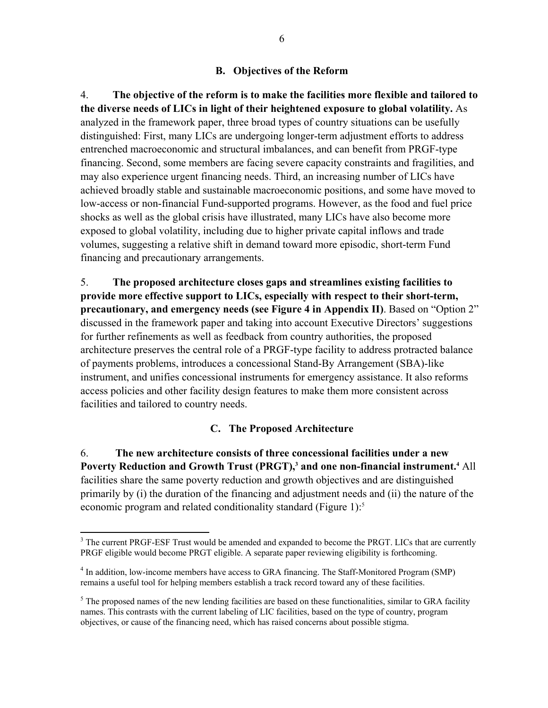## **B. Objectives of the Reform**

4. **The objective of the reform is to make the facilities more flexible and tailored to the diverse needs of LICs in light of their heightened exposure to global volatility.** As analyzed in the framework paper, three broad types of country situations can be usefully distinguished: First, many LICs are undergoing longer-term adjustment efforts to address entrenched macroeconomic and structural imbalances, and can benefit from PRGF-type financing. Second, some members are facing severe capacity constraints and fragilities, and may also experience urgent financing needs. Third, an increasing number of LICs have achieved broadly stable and sustainable macroeconomic positions, and some have moved to low-access or non-financial Fund-supported programs. However, as the food and fuel price shocks as well as the global crisis have illustrated, many LICs have also become more exposed to global volatility, including due to higher private capital inflows and trade volumes, suggesting a relative shift in demand toward more episodic, short-term Fund financing and precautionary arrangements.

5. **The proposed architecture closes gaps and streamlines existing facilities to provide more effective support to LICs, especially with respect to their short-term, precautionary, and emergency needs (see Figure 4 in Appendix II)**. Based on "Option 2" discussed in the framework paper and taking into account Executive Directors' suggestions for further refinements as well as feedback from country authorities, the proposed architecture preserves the central role of a PRGF-type facility to address protracted balance of payments problems, introduces a concessional Stand-By Arrangement (SBA)-like instrument, and unifies concessional instruments for emergency assistance. It also reforms access policies and other facility design features to make them more consistent across facilities and tailored to country needs.

## **C. The Proposed Architecture**

6. **The new architecture consists of three concessional facilities under a new**  Poverty Reduction and Growth Trust (PRGT),<sup>3</sup> and one non-financial instrument.<sup>4</sup> All facilities share the same poverty reduction and growth objectives and are distinguished primarily by (i) the duration of the financing and adjustment needs and (ii) the nature of the economic program and related conditionality standard (Figure 1):<sup>5</sup>

 $\overline{a}$ 

<sup>&</sup>lt;sup>3</sup> The current PRGF-ESF Trust would be amended and expanded to become the PRGT. LICs that are currently PRGF eligible would become PRGT eligible. A separate paper reviewing eligibility is forthcoming.

<sup>&</sup>lt;sup>4</sup> In addition, low-income members have access to GRA financing. The Staff-Monitored Program (SMP) remains a useful tool for helping members establish a track record toward any of these facilities.

 $<sup>5</sup>$  The proposed names of the new lending facilities are based on these functionalities, similar to GRA facility</sup> names. This contrasts with the current labeling of LIC facilities, based on the type of country, program objectives, or cause of the financing need, which has raised concerns about possible stigma.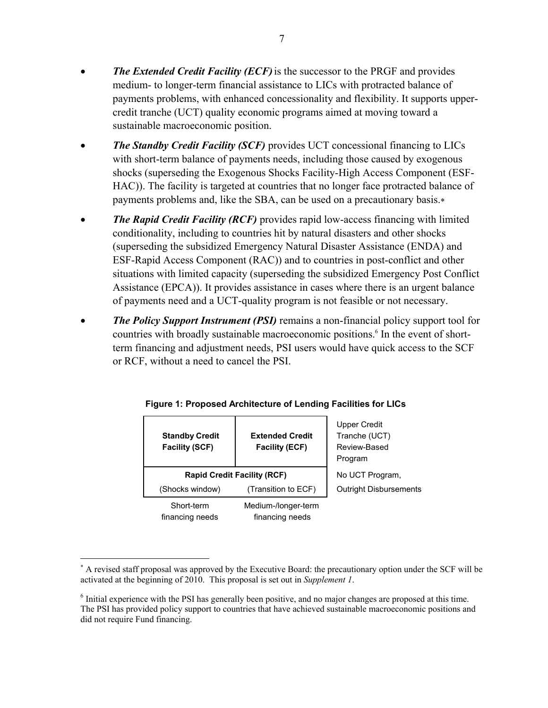- *The Extended Credit Facility (ECF)*is the successor to the PRGF and provides medium- to longer-term financial assistance to LICs with protracted balance of payments problems, with enhanced concessionality and flexibility. It supports uppercredit tranche (UCT) quality economic programs aimed at moving toward a sustainable macroeconomic position.
- *The Standby Credit Facility (SCF)* provides UCT concessional financing to LICs with short-term balance of payments needs, including those caused by exogenous shocks (superseding the Exogenous Shocks Facility-High Access Component (ESF-HAC)). The facility is targeted at countries that no longer face protracted balance of payments problems and, like the SBA, can be used on a precautionary basis.
- *The Rapid Credit Facility (RCF)* provides rapid low-access financing with limited conditionality, including to countries hit by natural disasters and other shocks (superseding the subsidized Emergency Natural Disaster Assistance (ENDA) and ESF-Rapid Access Component (RAC)) and to countries in post-conflict and other situations with limited capacity (superseding the subsidized Emergency Post Conflict Assistance (EPCA)). It provides assistance in cases where there is an urgent balance of payments need and a UCT-quality program is not feasible or not necessary.
- *The Policy Support Instrument (PSI)* remains a non-financial policy support tool for countries with broadly sustainable macroeconomic positions.<sup>6</sup> In the event of shortterm financing and adjustment needs, PSI users would have quick access to the SCF or RCF, without a need to cancel the PSI.

| <b>Standby Credit</b><br><b>Facility (SCF)</b> | <b>Extended Credit</b><br><b>Facility (ECF)</b> | Upper Credit<br>Tranche (UCT)<br>Review-Based<br>Program |
|------------------------------------------------|-------------------------------------------------|----------------------------------------------------------|
| <b>Rapid Credit Facility (RCF)</b>             | No UCT Program.                                 |                                                          |
| (Shocks window)                                | (Transition to ECF)                             | <b>Outright Disbursements</b>                            |
| Short-term<br>financing needs                  | Medium-/longer-term<br>financing needs          |                                                          |

|  | Figure 1: Proposed Architecture of Lending Facilities for LICs |  |  |  |
|--|----------------------------------------------------------------|--|--|--|
|  |                                                                |  |  |  |

1

 A revised staff proposal was approved by the Executive Board: the precautionary option under the SCF will be activated at the beginning of 2010. This proposal is set out in *Supplement 1*.

<sup>&</sup>lt;sup>6</sup> Initial experience with the PSI has generally been positive, and no major changes are proposed at this time. The PSI has provided policy support to countries that have achieved sustainable macroeconomic positions and did not require Fund financing.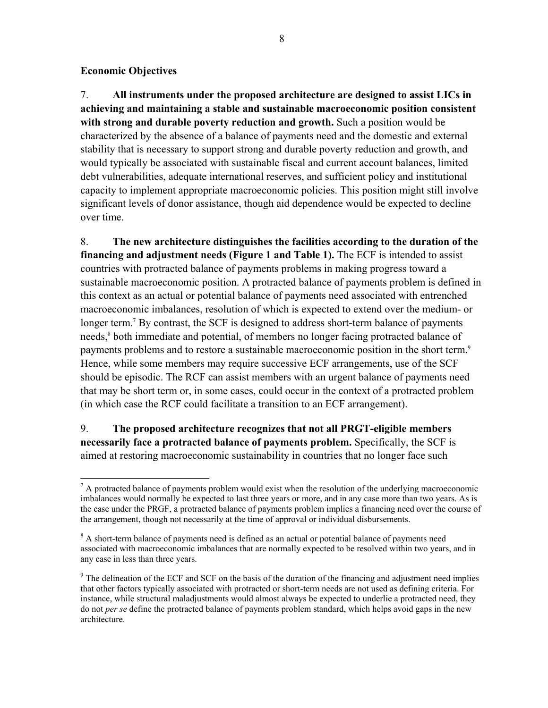## **Economic Objectives**

 $\overline{a}$ 

7. **All instruments under the proposed architecture are designed to assist LICs in achieving and maintaining a stable and sustainable macroeconomic position consistent with strong and durable poverty reduction and growth.** Such a position would be characterized by the absence of a balance of payments need and the domestic and external stability that is necessary to support strong and durable poverty reduction and growth, and would typically be associated with sustainable fiscal and current account balances, limited debt vulnerabilities, adequate international reserves, and sufficient policy and institutional capacity to implement appropriate macroeconomic policies. This position might still involve significant levels of donor assistance, though aid dependence would be expected to decline over time.

8. **The new architecture distinguishes the facilities according to the duration of the financing and adjustment needs (Figure 1 and Table 1).** The ECF is intended to assist countries with protracted balance of payments problems in making progress toward a sustainable macroeconomic position. A protracted balance of payments problem is defined in this context as an actual or potential balance of payments need associated with entrenched macroeconomic imbalances, resolution of which is expected to extend over the medium- or longer term.<sup>7</sup> By contrast, the SCF is designed to address short-term balance of payments needs,<sup>8</sup> both immediate and potential, of members no longer facing protracted balance of payments problems and to restore a sustainable macroeconomic position in the short term.<sup>9</sup> Hence, while some members may require successive ECF arrangements, use of the SCF should be episodic. The RCF can assist members with an urgent balance of payments need that may be short term or, in some cases, could occur in the context of a protracted problem (in which case the RCF could facilitate a transition to an ECF arrangement).

9. **The proposed architecture recognizes that not all PRGT-eligible members necessarily face a protracted balance of payments problem.** Specifically, the SCF is aimed at restoring macroeconomic sustainability in countries that no longer face such

 $<sup>7</sup>$  A protracted balance of payments problem would exist when the resolution of the underlying macroeconomic</sup> imbalances would normally be expected to last three years or more, and in any case more than two years. As is the case under the PRGF, a protracted balance of payments problem implies a financing need over the course of the arrangement, though not necessarily at the time of approval or individual disbursements.

<sup>&</sup>lt;sup>8</sup> A short-term balance of payments need is defined as an actual or potential balance of payments need associated with macroeconomic imbalances that are normally expected to be resolved within two years, and in any case in less than three years.

 $9<sup>9</sup>$  The delineation of the ECF and SCF on the basis of the duration of the financing and adjustment need implies that other factors typically associated with protracted or short-term needs are not used as defining criteria. For instance, while structural maladjustments would almost always be expected to underlie a protracted need, they do not *per se* define the protracted balance of payments problem standard, which helps avoid gaps in the new architecture.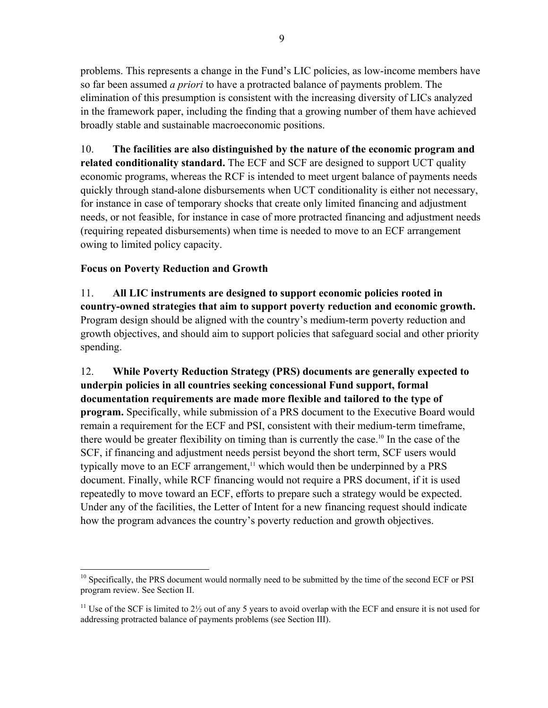problems. This represents a change in the Fund's LIC policies, as low-income members have so far been assumed *a priori* to have a protracted balance of payments problem. The elimination of this presumption is consistent with the increasing diversity of LICs analyzed in the framework paper, including the finding that a growing number of them have achieved broadly stable and sustainable macroeconomic positions.

10. **The facilities are also distinguished by the nature of the economic program and related conditionality standard.** The ECF and SCF are designed to support UCT quality economic programs, whereas the RCF is intended to meet urgent balance of payments needs quickly through stand-alone disbursements when UCT conditionality is either not necessary, for instance in case of temporary shocks that create only limited financing and adjustment needs, or not feasible, for instance in case of more protracted financing and adjustment needs (requiring repeated disbursements) when time is needed to move to an ECF arrangement owing to limited policy capacity.

## **Focus on Poverty Reduction and Growth**

11. **All LIC instruments are designed to support economic policies rooted in country-owned strategies that aim to support poverty reduction and economic growth.** Program design should be aligned with the country's medium-term poverty reduction and growth objectives, and should aim to support policies that safeguard social and other priority spending.

12. **While Poverty Reduction Strategy (PRS) documents are generally expected to underpin policies in all countries seeking concessional Fund support, formal documentation requirements are made more flexible and tailored to the type of program.** Specifically, while submission of a PRS document to the Executive Board would remain a requirement for the ECF and PSI, consistent with their medium-term timeframe, there would be greater flexibility on timing than is currently the case.10 In the case of the SCF, if financing and adjustment needs persist beyond the short term, SCF users would typically move to an ECF arrangement, $11$  which would then be underpinned by a PRS document. Finally, while RCF financing would not require a PRS document, if it is used repeatedly to move toward an ECF, efforts to prepare such a strategy would be expected. Under any of the facilities, the Letter of Intent for a new financing request should indicate how the program advances the country's poverty reduction and growth objectives.

 $\overline{a}$ <sup>10</sup> Specifically, the PRS document would normally need to be submitted by the time of the second ECF or PSI program review. See Section II.

<sup>&</sup>lt;sup>11</sup> Use of the SCF is limited to  $2\frac{1}{2}$  out of any 5 years to avoid overlap with the ECF and ensure it is not used for addressing protracted balance of payments problems (see Section III).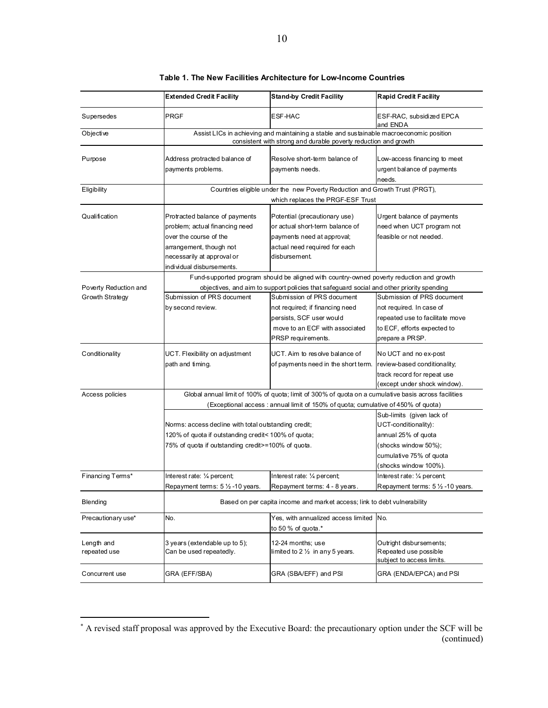|                                          | <b>Extended Credit Facility</b>                                                                                                                                                  | <b>Stand-by Credit Facility</b>                                                                                                                                                                                     | <b>Rapid Credit Facility</b>                                                                                                                         |
|------------------------------------------|----------------------------------------------------------------------------------------------------------------------------------------------------------------------------------|---------------------------------------------------------------------------------------------------------------------------------------------------------------------------------------------------------------------|------------------------------------------------------------------------------------------------------------------------------------------------------|
| Supersedes                               | <b>PRGF</b>                                                                                                                                                                      | ESF-HAC                                                                                                                                                                                                             | ESF-RAC, subsidized EPCA<br>and ENDA                                                                                                                 |
| Objective                                |                                                                                                                                                                                  | Assist LICs in achieving and maintaining a stable and sustainable macroeconomic position<br>consistent with strong and durable poverty reduction and growth                                                         |                                                                                                                                                      |
| Purpose                                  | Address protracted balance of<br>payments problems.                                                                                                                              | Resolve short-term balance of<br>payments needs.                                                                                                                                                                    | Low-access financing to meet<br>urgent balance of payments<br>needs.                                                                                 |
| Eligibility                              |                                                                                                                                                                                  | Countries eligible under the new Poverty Reduction and Growth Trust (PRGT),<br>which replaces the PRGF-ESF Trust                                                                                                    |                                                                                                                                                      |
| Qualification                            | Protracted balance of payments<br>problem; actual financing need<br>over the course of the<br>arrangement, though not<br>necessarily at approval or<br>individual disbursements. | Potential (precautionary use)<br>or actual short-term balance of<br>payments need at approval;<br>actual need required for each<br>disbursement.                                                                    | Urgent balance of payments<br>need when UCT program not<br>feasible or not needed.                                                                   |
| Poverty Reduction and<br>Growth Strategy | Submission of PRS document                                                                                                                                                       | Fund-supported program should be aligned with country-owned poverty reduction and growth<br>objectives, and aim to support policies that safeguard social and other priority spending<br>Submission of PRS document | Submission of PRS document                                                                                                                           |
|                                          | by second review.                                                                                                                                                                | not required; if financing need<br>persists, SCF user would<br>move to an ECF with associated<br>PRSP requirements.                                                                                                 | not required. In case of<br>repeated use to facilitate move<br>to ECF, efforts expected to<br>prepare a PRSP.                                        |
| Conditionality                           | UCT. Flexibility on adjustment<br>path and timing.                                                                                                                               | UCT. Aim to resolve balance of<br>of payments need in the short term.                                                                                                                                               | No UCT and no ex-post<br>review-based conditionality;<br>track record for repeat use<br>(except under shock window).                                 |
| Access policies                          |                                                                                                                                                                                  | Global annual limit of 100% of quota; limit of 300% of quota on a cumulative basis across facilities<br>(Exceptional access: annual limit of 150% of quota; cumulative of 450% of quota)                            |                                                                                                                                                      |
|                                          | Norms: access decline with total outstanding credit;<br>120% of quota if outstanding credit< 100% of quota;<br>75% of quota if outstanding credit>=100% of quota.                |                                                                                                                                                                                                                     | Sub-limits (given lack of<br>UCT-conditionality):<br>annual 25% of quota<br>(shocks window 50%);<br>cumulative 75% of quota<br>(shocks window 100%). |
| Financing Terms*                         | Interest rate: 1/4 percent;<br>Repayment terms: 5 1/2 -10 years.                                                                                                                 | Interest rate: 1/4 percent;<br>Repayment terms: 4 - 8 years.                                                                                                                                                        | Interest rate: 1/4 percent;<br>Repayment terms: 5 1/2 -10 years.                                                                                     |
| Blending                                 |                                                                                                                                                                                  | Based on per capita income and market access; link to debt vulnerability                                                                                                                                            |                                                                                                                                                      |
| Precautionary use*                       | No.                                                                                                                                                                              | Yes, with annualized access limited<br>to 50 % of quota.*                                                                                                                                                           | No.                                                                                                                                                  |
| Length and<br>repeated use               | 3 years (extendable up to 5);<br>Can be used repeatedly.                                                                                                                         | 12-24 months; use<br>limited to 2 $\frac{1}{2}$ in any 5 years.                                                                                                                                                     | Outright disbursements;<br>Repeated use possible<br>subject to access limits.                                                                        |
| Concurrent use                           | GRA (EFF/SBA)                                                                                                                                                                    | GRA (SBA/EFF) and PSI                                                                                                                                                                                               | GRA (ENDA/EPCA) and PSI                                                                                                                              |

#### **Table 1. The New Facilities Architecture for Low-Income Countries**

 A revised staff proposal was approved by the Executive Board: the precautionary option under the SCF will be (continued)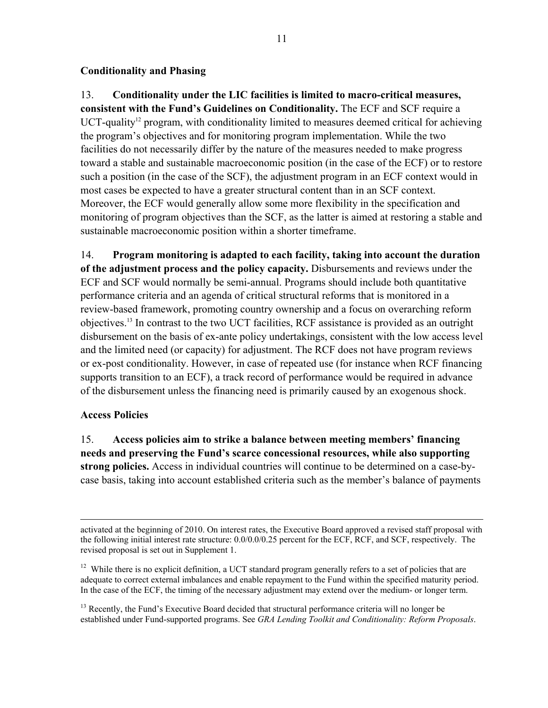## **Conditionality and Phasing**

## 13. **Conditionality under the LIC facilities is limited to macro-critical measures,**

**consistent with the Fund's Guidelines on Conditionality.** The ECF and SCF require a UCT-quality<sup>12</sup> program, with conditionality limited to measures deemed critical for achieving the program's objectives and for monitoring program implementation. While the two facilities do not necessarily differ by the nature of the measures needed to make progress toward a stable and sustainable macroeconomic position (in the case of the ECF) or to restore such a position (in the case of the SCF), the adjustment program in an ECF context would in most cases be expected to have a greater structural content than in an SCF context. Moreover, the ECF would generally allow some more flexibility in the specification and monitoring of program objectives than the SCF, as the latter is aimed at restoring a stable and sustainable macroeconomic position within a shorter timeframe.

14. **Program monitoring is adapted to each facility, taking into account the duration of the adjustment process and the policy capacity.** Disbursements and reviews under the ECF and SCF would normally be semi-annual. Programs should include both quantitative performance criteria and an agenda of critical structural reforms that is monitored in a review-based framework, promoting country ownership and a focus on overarching reform objectives.13 In contrast to the two UCT facilities, RCF assistance is provided as an outright disbursement on the basis of ex-ante policy undertakings, consistent with the low access level and the limited need (or capacity) for adjustment. The RCF does not have program reviews or ex-post conditionality. However, in case of repeated use (for instance when RCF financing supports transition to an ECF), a track record of performance would be required in advance of the disbursement unless the financing need is primarily caused by an exogenous shock.

#### **Access Policies**

15. **Access policies aim to strike a balance between meeting members' financing needs and preserving the Fund's scarce concessional resources, while also supporting strong policies.** Access in individual countries will continue to be determined on a case-bycase basis, taking into account established criteria such as the member's balance of payments

 activated at the beginning of 2010. On interest rates, the Executive Board approved a revised staff proposal with the following initial interest rate structure: 0.0/0.0/0.25 percent for the ECF, RCF, and SCF, respectively. The revised proposal is set out in Supplement 1.

<sup>12</sup> While there is no explicit definition, a UCT standard program generally refers to a set of policies that are adequate to correct external imbalances and enable repayment to the Fund within the specified maturity period. In the case of the ECF, the timing of the necessary adjustment may extend over the medium- or longer term.

<sup>13</sup> Recently, the Fund's Executive Board decided that structural performance criteria will no longer be established under Fund-supported programs. See *GRA Lending Toolkit and Conditionality: Reform Proposals*.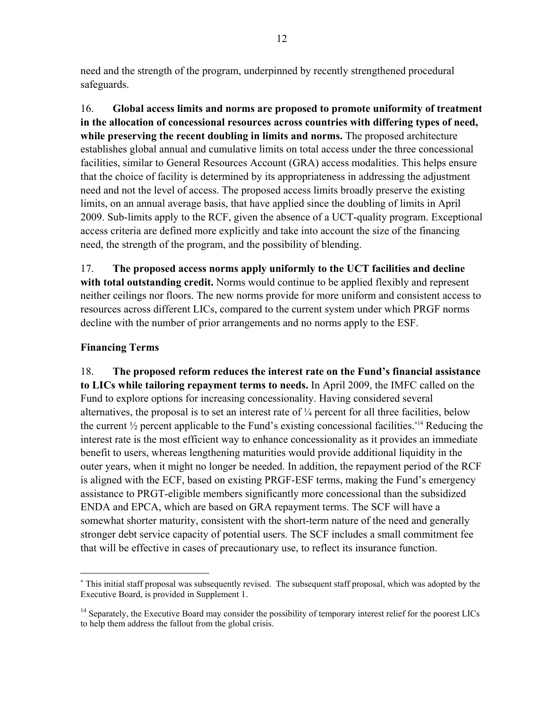need and the strength of the program, underpinned by recently strengthened procedural safeguards.

16. **Global access limits and norms are proposed to promote uniformity of treatment in the allocation of concessional resources across countries with differing types of need, while preserving the recent doubling in limits and norms.** The proposed architecture establishes global annual and cumulative limits on total access under the three concessional facilities, similar to General Resources Account (GRA) access modalities. This helps ensure that the choice of facility is determined by its appropriateness in addressing the adjustment need and not the level of access. The proposed access limits broadly preserve the existing limits, on an annual average basis, that have applied since the doubling of limits in April 2009. Sub-limits apply to the RCF, given the absence of a UCT-quality program. Exceptional access criteria are defined more explicitly and take into account the size of the financing need, the strength of the program, and the possibility of blending.

17. **The proposed access norms apply uniformly to the UCT facilities and decline with total outstanding credit.** Norms would continue to be applied flexibly and represent neither ceilings nor floors. The new norms provide for more uniform and consistent access to resources across different LICs, compared to the current system under which PRGF norms decline with the number of prior arrangements and no norms apply to the ESF.

## **Financing Terms**

 $\overline{a}$ 

18. **The proposed reform reduces the interest rate on the Fund's financial assistance to LICs while tailoring repayment terms to needs.** In April 2009, the IMFC called on the Fund to explore options for increasing concessionality. Having considered several alternatives, the proposal is to set an interest rate of ¼ percent for all three facilities, below the current  $\frac{1}{2}$  percent applicable to the Fund's existing concessional facilities.<sup>\*14</sup> Reducing the interest rate is the most efficient way to enhance concessionality as it provides an immediate benefit to users, whereas lengthening maturities would provide additional liquidity in the outer years, when it might no longer be needed. In addition, the repayment period of the RCF is aligned with the ECF, based on existing PRGF-ESF terms, making the Fund's emergency assistance to PRGT-eligible members significantly more concessional than the subsidized ENDA and EPCA, which are based on GRA repayment terms. The SCF will have a somewhat shorter maturity, consistent with the short-term nature of the need and generally stronger debt service capacity of potential users. The SCF includes a small commitment fee that will be effective in cases of precautionary use, to reflect its insurance function.

 This initial staff proposal was subsequently revised. The subsequent staff proposal, which was adopted by the Executive Board, is provided in Supplement 1.

<sup>&</sup>lt;sup>14</sup> Separately, the Executive Board may consider the possibility of temporary interest relief for the poorest LICs to help them address the fallout from the global crisis.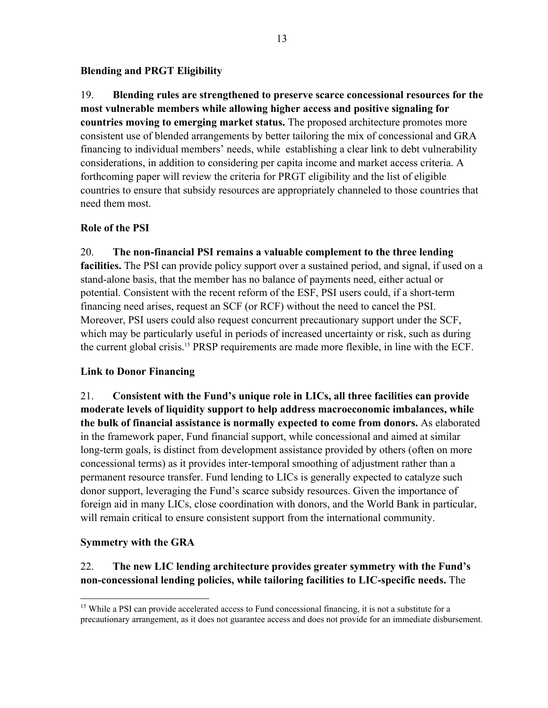#### **Blending and PRGT Eligibility**

19. **Blending rules are strengthened to preserve scarce concessional resources for the most vulnerable members while allowing higher access and positive signaling for countries moving to emerging market status.** The proposed architecture promotes more consistent use of blended arrangements by better tailoring the mix of concessional and GRA financing to individual members' needs, while establishing a clear link to debt vulnerability considerations, in addition to considering per capita income and market access criteria. A forthcoming paper will review the criteria for PRGT eligibility and the list of eligible countries to ensure that subsidy resources are appropriately channeled to those countries that need them most.

## **Role of the PSI**

20. **The non-financial PSI remains a valuable complement to the three lending facilities.** The PSI can provide policy support over a sustained period, and signal, if used on a stand-alone basis, that the member has no balance of payments need, either actual or potential. Consistent with the recent reform of the ESF, PSI users could, if a short-term financing need arises, request an SCF (or RCF) without the need to cancel the PSI. Moreover, PSI users could also request concurrent precautionary support under the SCF, which may be particularly useful in periods of increased uncertainty or risk, such as during the current global crisis.15 PRSP requirements are made more flexible, in line with the ECF.

## **Link to Donor Financing**

21. **Consistent with the Fund's unique role in LICs, all three facilities can provide moderate levels of liquidity support to help address macroeconomic imbalances, while the bulk of financial assistance is normally expected to come from donors.** As elaborated in the framework paper, Fund financial support, while concessional and aimed at similar long-term goals, is distinct from development assistance provided by others (often on more concessional terms) as it provides inter-temporal smoothing of adjustment rather than a permanent resource transfer. Fund lending to LICs is generally expected to catalyze such donor support, leveraging the Fund's scarce subsidy resources. Given the importance of foreign aid in many LICs, close coordination with donors, and the World Bank in particular, will remain critical to ensure consistent support from the international community.

## **Symmetry with the GRA**

<u>.</u>

# 22. **The new LIC lending architecture provides greater symmetry with the Fund's non-concessional lending policies, while tailoring facilities to LIC-specific needs.** The

<sup>&</sup>lt;sup>15</sup> While a PSI can provide accelerated access to Fund concessional financing, it is not a substitute for a precautionary arrangement, as it does not guarantee access and does not provide for an immediate disbursement.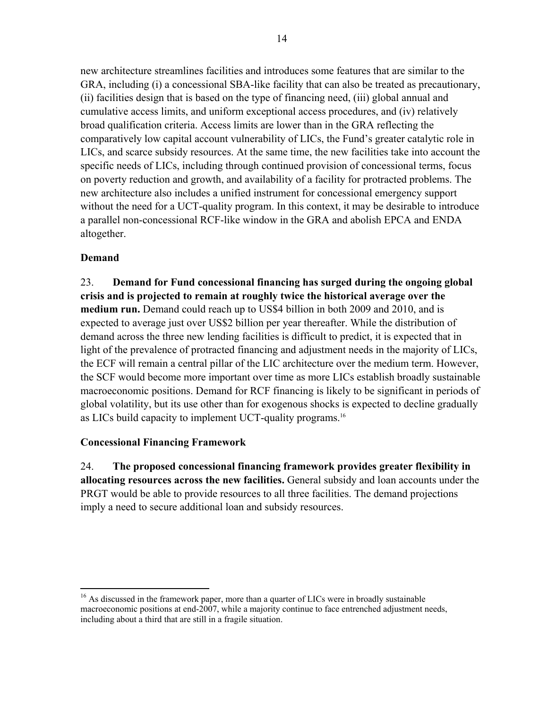new architecture streamlines facilities and introduces some features that are similar to the GRA, including (i) a concessional SBA-like facility that can also be treated as precautionary, (ii) facilities design that is based on the type of financing need, (iii) global annual and cumulative access limits, and uniform exceptional access procedures, and (iv) relatively broad qualification criteria. Access limits are lower than in the GRA reflecting the comparatively low capital account vulnerability of LICs, the Fund's greater catalytic role in LICs, and scarce subsidy resources. At the same time, the new facilities take into account the specific needs of LICs, including through continued provision of concessional terms, focus on poverty reduction and growth, and availability of a facility for protracted problems. The new architecture also includes a unified instrument for concessional emergency support without the need for a UCT-quality program. In this context, it may be desirable to introduce a parallel non-concessional RCF-like window in the GRA and abolish EPCA and ENDA altogether.

# **Demand**

23. **Demand for Fund concessional financing has surged during the ongoing global crisis and is projected to remain at roughly twice the historical average over the medium run.** Demand could reach up to US\$4 billion in both 2009 and 2010, and is expected to average just over US\$2 billion per year thereafter. While the distribution of demand across the three new lending facilities is difficult to predict, it is expected that in light of the prevalence of protracted financing and adjustment needs in the majority of LICs, the ECF will remain a central pillar of the LIC architecture over the medium term. However, the SCF would become more important over time as more LICs establish broadly sustainable macroeconomic positions. Demand for RCF financing is likely to be significant in periods of global volatility, but its use other than for exogenous shocks is expected to decline gradually as LICs build capacity to implement UCT-quality programs.<sup>16</sup>

# **Concessional Financing Framework**

24. **The proposed concessional financing framework provides greater flexibility in allocating resources across the new facilities.** General subsidy and loan accounts under the PRGT would be able to provide resources to all three facilities. The demand projections imply a need to secure additional loan and subsidy resources.

<sup>1</sup> <sup>16</sup> As discussed in the framework paper, more than a quarter of LICs were in broadly sustainable macroeconomic positions at end-2007, while a majority continue to face entrenched adjustment needs, including about a third that are still in a fragile situation.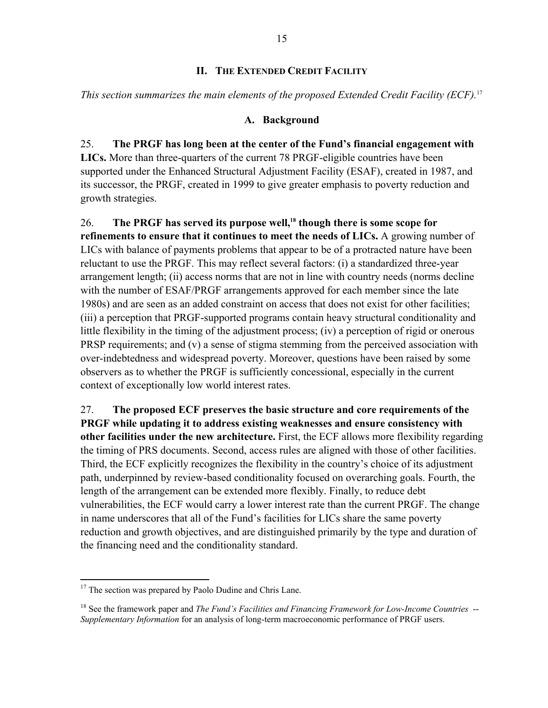## **II. THE EXTENDED CREDIT FACILITY**

*This section summarizes the main elements of the proposed Extended Credit Facility (ECF).*<sup>17</sup>

#### **A. Background**

25. **The PRGF has long been at the center of the Fund's financial engagement with LICs.** More than three-quarters of the current 78 PRGF-eligible countries have been supported under the Enhanced Structural Adjustment Facility (ESAF), created in 1987, and its successor, the PRGF, created in 1999 to give greater emphasis to poverty reduction and growth strategies.

26. **The PRGF has served its purpose well,18 though there is some scope for refinements to ensure that it continues to meet the needs of LICs.** A growing number of LICs with balance of payments problems that appear to be of a protracted nature have been reluctant to use the PRGF. This may reflect several factors: (i) a standardized three-year arrangement length; (ii) access norms that are not in line with country needs (norms decline with the number of ESAF/PRGF arrangements approved for each member since the late 1980s) and are seen as an added constraint on access that does not exist for other facilities; (iii) a perception that PRGF-supported programs contain heavy structural conditionality and little flexibility in the timing of the adjustment process; (iv) a perception of rigid or onerous PRSP requirements; and (v) a sense of stigma stemming from the perceived association with over-indebtedness and widespread poverty. Moreover, questions have been raised by some observers as to whether the PRGF is sufficiently concessional, especially in the current context of exceptionally low world interest rates.

27. **The proposed ECF preserves the basic structure and core requirements of the PRGF while updating it to address existing weaknesses and ensure consistency with other facilities under the new architecture.** First, the ECF allows more flexibility regarding the timing of PRS documents. Second, access rules are aligned with those of other facilities. Third, the ECF explicitly recognizes the flexibility in the country's choice of its adjustment path, underpinned by review-based conditionality focused on overarching goals. Fourth, the length of the arrangement can be extended more flexibly. Finally, to reduce debt vulnerabilities, the ECF would carry a lower interest rate than the current PRGF. The change in name underscores that all of the Fund's facilities for LICs share the same poverty reduction and growth objectives, and are distinguished primarily by the type and duration of the financing need and the conditionality standard.

 $\overline{a}$  $17$  The section was prepared by Paolo Dudine and Chris Lane.

<sup>18</sup> See the framework paper and *The Fund's Facilities and Financing Framework for Low-Income Countries* -- *Supplementary Information* for an analysis of long-term macroeconomic performance of PRGF users.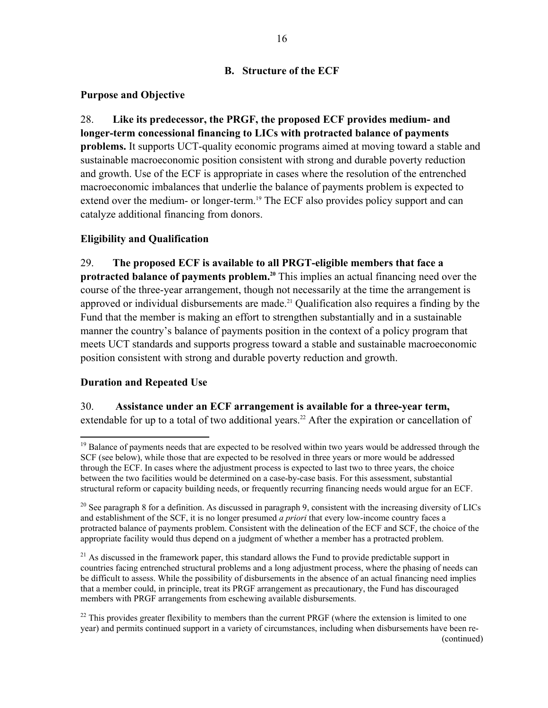## **B. Structure of the ECF**

## **Purpose and Objective**

28. **Like its predecessor, the PRGF, the proposed ECF provides medium- and longer-term concessional financing to LICs with protracted balance of payments problems.** It supports UCT-quality economic programs aimed at moving toward a stable and sustainable macroeconomic position consistent with strong and durable poverty reduction and growth. Use of the ECF is appropriate in cases where the resolution of the entrenched macroeconomic imbalances that underlie the balance of payments problem is expected to extend over the medium- or longer-term.<sup>19</sup> The ECF also provides policy support and can catalyze additional financing from donors.

## **Eligibility and Qualification**

29. **The proposed ECF is available to all PRGT-eligible members that face a protracted balance of payments problem.20** This implies an actual financing need over the course of the three-year arrangement, though not necessarily at the time the arrangement is approved or individual disbursements are made.<sup>21</sup> Qualification also requires a finding by the Fund that the member is making an effort to strengthen substantially and in a sustainable manner the country's balance of payments position in the context of a policy program that meets UCT standards and supports progress toward a stable and sustainable macroeconomic position consistent with strong and durable poverty reduction and growth.

## **Duration and Repeated Use**

 $\overline{a}$ 

30. **Assistance under an ECF arrangement is available for a three-year term,** extendable for up to a total of two additional years.<sup>22</sup> After the expiration or cancellation of

<sup>&</sup>lt;sup>19</sup> Balance of payments needs that are expected to be resolved within two years would be addressed through the SCF (see below), while those that are expected to be resolved in three years or more would be addressed through the ECF. In cases where the adjustment process is expected to last two to three years, the choice between the two facilities would be determined on a case-by-case basis. For this assessment, substantial structural reform or capacity building needs, or frequently recurring financing needs would argue for an ECF.

<sup>&</sup>lt;sup>20</sup> See paragraph 8 for a definition. As discussed in paragraph 9, consistent with the increasing diversity of LICs and establishment of the SCF, it is no longer presumed *a priori* that every low-income country faces a protracted balance of payments problem. Consistent with the delineation of the ECF and SCF, the choice of the appropriate facility would thus depend on a judgment of whether a member has a protracted problem.

 $21$  As discussed in the framework paper, this standard allows the Fund to provide predictable support in countries facing entrenched structural problems and a long adjustment process, where the phasing of needs can be difficult to assess. While the possibility of disbursements in the absence of an actual financing need implies that a member could, in principle, treat its PRGF arrangement as precautionary, the Fund has discouraged members with PRGF arrangements from eschewing available disbursements.

 $22$  This provides greater flexibility to members than the current PRGF (where the extension is limited to one year) and permits continued support in a variety of circumstances, including when disbursements have been re- (continued)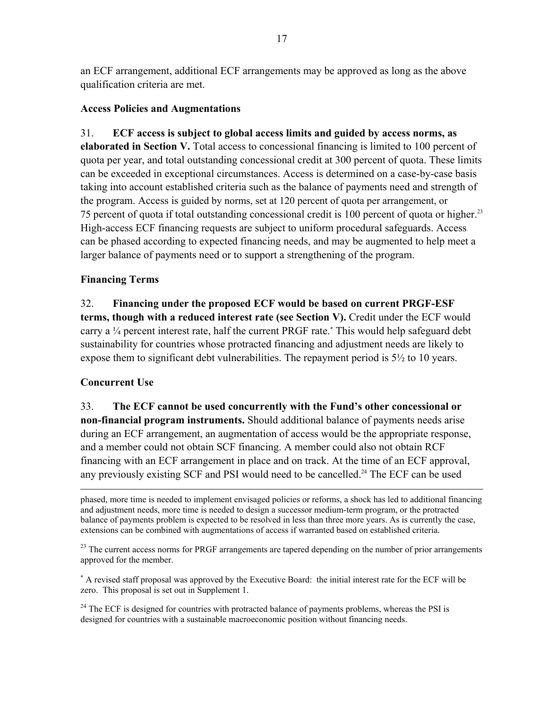an ECF arrangement, additional ECF arrangements may be approved as long as the above qualification criteria are met.

## **Access Policies and Augmentations**

31. **ECF access is subject to global access limits and guided by access norms, as elaborated in Section V.** Total access to concessional financing is limited to 100 percent of quota per year, and total outstanding concessional credit at 300 percent of quota. These limits can be exceeded in exceptional circumstances. Access is determined on a case-by-case basis taking into account established criteria such as the balance of payments need and strength of the program. Access is guided by norms, set at 120 percent of quota per arrangement, or 75 percent of quota if total outstanding concessional credit is 100 percent of quota or higher.23 High-access ECF financing requests are subject to uniform procedural safeguards. Access can be phased according to expected financing needs, and may be augmented to help meet a larger balance of payments need or to support a strengthening of the program.

## **Financing Terms**

32. **Financing under the proposed ECF would be based on current PRGF-ESF terms, though with a reduced interest rate (see Section V).** Credit under the ECF would carry a ¼ percent interest rate, half the current PRGF rate. This would help safeguard debt sustainability for countries whose protracted financing and adjustment needs are likely to expose them to significant debt vulnerabilities. The repayment period is  $5\frac{1}{2}$  to 10 years.

# **Concurrent Use**

33. **The ECF cannot be used concurrently with the Fund's other concessional or non-financial program instruments.** Should additional balance of payments needs arise during an ECF arrangement, an augmentation of access would be the appropriate response, and a member could not obtain SCF financing. A member could also not obtain RCF financing with an ECF arrangement in place and on track. At the time of an ECF approval, any previously existing SCF and PSI would need to be cancelled.<sup>24</sup> The ECF can be used

 phased, more time is needed to implement envisaged policies or reforms, a shock has led to additional financing and adjustment needs, more time is needed to design a successor medium-term program, or the protracted balance of payments problem is expected to be resolved in less than three more years. As is currently the case, extensions can be combined with augmentations of access if warranted based on established criteria.

<sup>23</sup> The current access norms for PRGF arrangements are tapered depending on the number of prior arrangements approved for the member.

 A revised staff proposal was approved by the Executive Board: the initial interest rate for the ECF will be zero. This proposal is set out in Supplement 1.

 $^{24}$  The ECF is designed for countries with protracted balance of payments problems, whereas the PSI is designed for countries with a sustainable macroeconomic position without financing needs.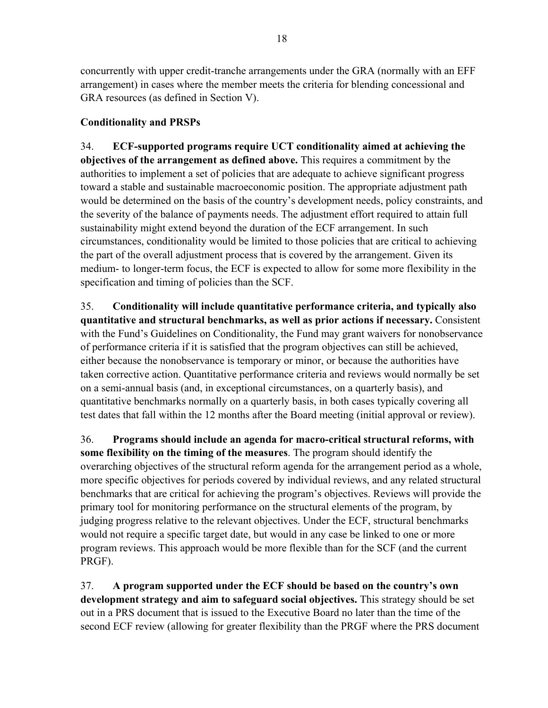18

concurrently with upper credit-tranche arrangements under the GRA (normally with an EFF arrangement) in cases where the member meets the criteria for blending concessional and GRA resources (as defined in Section V).

# **Conditionality and PRSPs**

34. **ECF-supported programs require UCT conditionality aimed at achieving the objectives of the arrangement as defined above.** This requires a commitment by the authorities to implement a set of policies that are adequate to achieve significant progress toward a stable and sustainable macroeconomic position. The appropriate adjustment path would be determined on the basis of the country's development needs, policy constraints, and the severity of the balance of payments needs. The adjustment effort required to attain full sustainability might extend beyond the duration of the ECF arrangement. In such circumstances, conditionality would be limited to those policies that are critical to achieving the part of the overall adjustment process that is covered by the arrangement. Given its medium- to longer-term focus, the ECF is expected to allow for some more flexibility in the specification and timing of policies than the SCF.

35. **Conditionality will include quantitative performance criteria, and typically also quantitative and structural benchmarks, as well as prior actions if necessary.** Consistent with the Fund's Guidelines on Conditionality, the Fund may grant waivers for nonobservance of performance criteria if it is satisfied that the program objectives can still be achieved, either because the nonobservance is temporary or minor, or because the authorities have taken corrective action. Quantitative performance criteria and reviews would normally be set on a semi-annual basis (and, in exceptional circumstances, on a quarterly basis), and quantitative benchmarks normally on a quarterly basis, in both cases typically covering all test dates that fall within the 12 months after the Board meeting (initial approval or review).

36. **Programs should include an agenda for macro-critical structural reforms, with some flexibility on the timing of the measures**. The program should identify the overarching objectives of the structural reform agenda for the arrangement period as a whole, more specific objectives for periods covered by individual reviews, and any related structural benchmarks that are critical for achieving the program's objectives. Reviews will provide the primary tool for monitoring performance on the structural elements of the program, by judging progress relative to the relevant objectives. Under the ECF, structural benchmarks would not require a specific target date, but would in any case be linked to one or more program reviews. This approach would be more flexible than for the SCF (and the current PRGF).

37. **A program supported under the ECF should be based on the country's own development strategy and aim to safeguard social objectives.** This strategy should be set out in a PRS document that is issued to the Executive Board no later than the time of the second ECF review (allowing for greater flexibility than the PRGF where the PRS document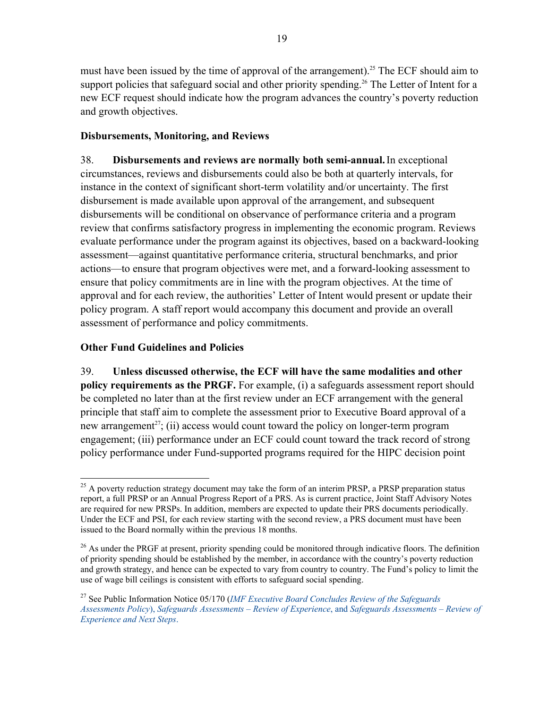must have been issued by the time of approval of the arrangement).<sup>25</sup> The ECF should aim to support policies that safeguard social and other priority spending.<sup>26</sup> The Letter of Intent for a new ECF request should indicate how the program advances the country's poverty reduction and growth objectives.

## **Disbursements, Monitoring, and Reviews**

38. **Disbursements and reviews are normally both semi-annual.**In exceptional circumstances, reviews and disbursements could also be both at quarterly intervals, for instance in the context of significant short-term volatility and/or uncertainty. The first disbursement is made available upon approval of the arrangement, and subsequent disbursements will be conditional on observance of performance criteria and a program review that confirms satisfactory progress in implementing the economic program. Reviews evaluate performance under the program against its objectives, based on a backward-looking assessment—against quantitative performance criteria, structural benchmarks, and prior actions—to ensure that program objectives were met, and a forward-looking assessment to ensure that policy commitments are in line with the program objectives. At the time of approval and for each review, the authorities' Letter of Intent would present or update their policy program. A staff report would accompany this document and provide an overall assessment of performance and policy commitments.

## **Other Fund Guidelines and Policies**

39. **Unless discussed otherwise, the ECF will have the same modalities and other policy requirements as the PRGF.** For example, (i) a safeguards assessment report should be completed no later than at the first review under an ECF arrangement with the general principle that staff aim to complete the assessment prior to Executive Board approval of a new arrangement<sup>27</sup>; (ii) access would count toward the policy on longer-term program engagement; (iii) performance under an ECF could count toward the track record of strong policy performance under Fund-supported programs required for the HIPC decision point

 $\overline{a}$  $25$  A poverty reduction strategy document may take the form of an interim PRSP, a PRSP preparation status report, a full PRSP or an Annual Progress Report of a PRS. As is current practice, Joint Staff Advisory Notes are required for new PRSPs. In addition, members are expected to update their PRS documents periodically. Under the ECF and PSI, for each review starting with the second review, a PRS document must have been issued to the Board normally within the previous 18 months.

 $^{26}$  As under the PRGF at present, priority spending could be monitored through indicative floors. The definition of priority spending should be established by the member, in accordance with the country's poverty reduction and growth strategy, and hence can be expected to vary from country to country. The Fund's policy to limit the use of wage bill ceilings is consistent with efforts to safeguard social spending.

<sup>27</sup> See Public Information Notice 05/170 (*IMF Executive Board Concludes Review of the Safeguards Assessments Policy*), *Safeguards Assessments – Review of Experience*, and *Safeguards Assessments – Review of Experience and Next Steps*.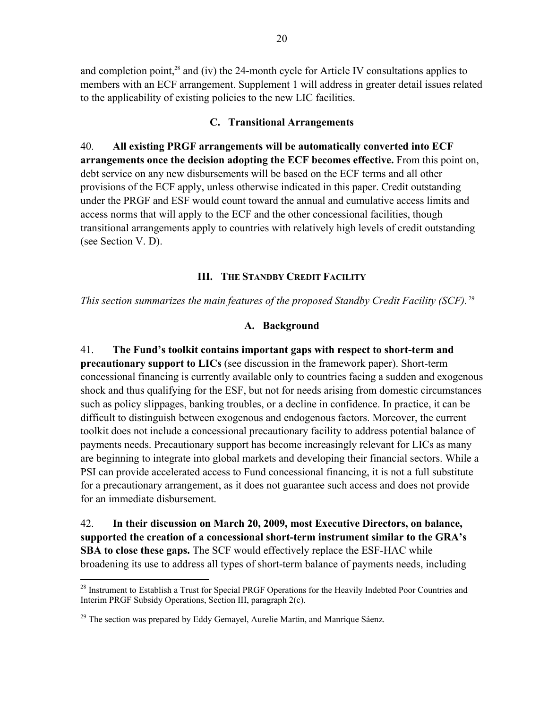and completion point, $28$  and (iv) the 24-month cycle for Article IV consultations applies to members with an ECF arrangement. Supplement 1 will address in greater detail issues related to the applicability of existing policies to the new LIC facilities.

## **C. Transitional Arrangements**

40. **All existing PRGF arrangements will be automatically converted into ECF arrangements once the decision adopting the ECF becomes effective.** From this point on, debt service on any new disbursements will be based on the ECF terms and all other provisions of the ECF apply, unless otherwise indicated in this paper. Credit outstanding under the PRGF and ESF would count toward the annual and cumulative access limits and access norms that will apply to the ECF and the other concessional facilities, though transitional arrangements apply to countries with relatively high levels of credit outstanding (see Section V. D).

## **III. THE STANDBY CREDIT FACILITY**

*This section summarizes the main features of the proposed Standby Credit Facility (SCF).*<sup>29</sup>

## **A. Background**

41. **The Fund's toolkit contains important gaps with respect to short-term and precautionary support to LICs** (see discussion in the framework paper). Short-term concessional financing is currently available only to countries facing a sudden and exogenous shock and thus qualifying for the ESF, but not for needs arising from domestic circumstances such as policy slippages, banking troubles, or a decline in confidence. In practice, it can be difficult to distinguish between exogenous and endogenous factors. Moreover, the current toolkit does not include a concessional precautionary facility to address potential balance of payments needs. Precautionary support has become increasingly relevant for LICs as many are beginning to integrate into global markets and developing their financial sectors. While a PSI can provide accelerated access to Fund concessional financing, it is not a full substitute for a precautionary arrangement, as it does not guarantee such access and does not provide for an immediate disbursement.

42. **In their discussion on March 20, 2009, most Executive Directors, on balance, supported the creation of a concessional short-term instrument similar to the GRA's SBA to close these gaps.** The SCF would effectively replace the ESF-HAC while broadening its use to address all types of short-term balance of payments needs, including

 $\overline{a}$ <sup>28</sup> Instrument to Establish a Trust for Special PRGF Operations for the Heavily Indebted Poor Countries and Interim PRGF Subsidy Operations, Section III, paragraph 2(c).

 $^{29}$  The section was prepared by Eddy Gemayel, Aurelie Martin, and Manrique Sáenz.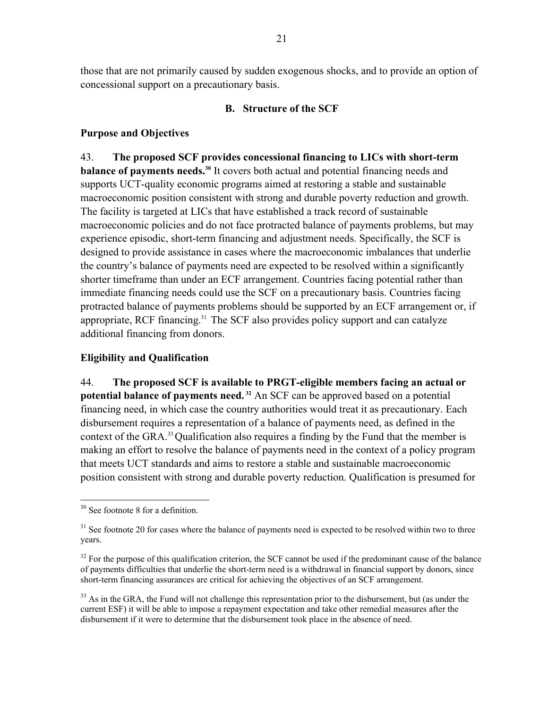those that are not primarily caused by sudden exogenous shocks, and to provide an option of concessional support on a precautionary basis.

#### **B. Structure of the SCF**

#### **Purpose and Objectives**

43. **The proposed SCF provides concessional financing to LICs with short-term balance of payments needs.<sup>30</sup>** It covers both actual and potential financing needs and supports UCT-quality economic programs aimed at restoring a stable and sustainable macroeconomic position consistent with strong and durable poverty reduction and growth. The facility is targeted at LICs that have established a track record of sustainable macroeconomic policies and do not face protracted balance of payments problems, but may experience episodic, short-term financing and adjustment needs. Specifically, the SCF is designed to provide assistance in cases where the macroeconomic imbalances that underlie the country's balance of payments need are expected to be resolved within a significantly shorter timeframe than under an ECF arrangement. Countries facing potential rather than immediate financing needs could use the SCF on a precautionary basis. Countries facing protracted balance of payments problems should be supported by an ECF arrangement or, if appropriate, RCF financing.<sup>31</sup> The SCF also provides policy support and can catalyze additional financing from donors.

#### **Eligibility and Qualification**

44. **The proposed SCF is available to PRGT-eligible members facing an actual or potential balance of payments need. 32** An SCF can be approved based on a potential financing need, in which case the country authorities would treat it as precautionary. Each disbursement requires a representation of a balance of payments need, as defined in the context of the GRA.33 Qualification also requires a finding by the Fund that the member is making an effort to resolve the balance of payments need in the context of a policy program that meets UCT standards and aims to restore a stable and sustainable macroeconomic position consistent with strong and durable poverty reduction. Qualification is presumed for

1

<sup>&</sup>lt;sup>30</sup> See footnote 8 for a definition.

<sup>&</sup>lt;sup>31</sup> See footnote 20 for cases where the balance of payments need is expected to be resolved within two to three years.

 $32$  For the purpose of this qualification criterion, the SCF cannot be used if the predominant cause of the balance of payments difficulties that underlie the short-term need is a withdrawal in financial support by donors, since short-term financing assurances are critical for achieving the objectives of an SCF arrangement.

 $33$  As in the GRA, the Fund will not challenge this representation prior to the disbursement, but (as under the current ESF) it will be able to impose a repayment expectation and take other remedial measures after the disbursement if it were to determine that the disbursement took place in the absence of need.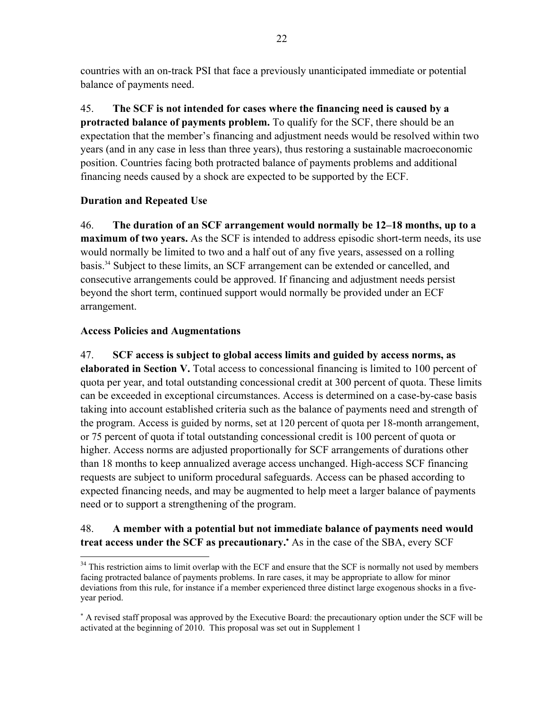countries with an on-track PSI that face a previously unanticipated immediate or potential balance of payments need.

45. **The SCF is not intended for cases where the financing need is caused by a protracted balance of payments problem.** To qualify for the SCF, there should be an expectation that the member's financing and adjustment needs would be resolved within two years (and in any case in less than three years), thus restoring a sustainable macroeconomic position. Countries facing both protracted balance of payments problems and additional financing needs caused by a shock are expected to be supported by the ECF.

## **Duration and Repeated Use**

46. **The duration of an SCF arrangement would normally be 12–18 months, up to a maximum of two years.** As the SCF is intended to address episodic short-term needs, its use would normally be limited to two and a half out of any five years, assessed on a rolling basis.34 Subject to these limits, an SCF arrangement can be extended or cancelled, and consecutive arrangements could be approved. If financing and adjustment needs persist beyond the short term, continued support would normally be provided under an ECF arrangement.

## **Access Policies and Augmentations**

1

47. **SCF access is subject to global access limits and guided by access norms, as elaborated in Section V.** Total access to concessional financing is limited to 100 percent of quota per year, and total outstanding concessional credit at 300 percent of quota. These limits can be exceeded in exceptional circumstances. Access is determined on a case-by-case basis taking into account established criteria such as the balance of payments need and strength of the program. Access is guided by norms, set at 120 percent of quota per 18-month arrangement, or 75 percent of quota if total outstanding concessional credit is 100 percent of quota or higher. Access norms are adjusted proportionally for SCF arrangements of durations other than 18 months to keep annualized average access unchanged. High-access SCF financing requests are subject to uniform procedural safeguards. Access can be phased according to expected financing needs, and may be augmented to help meet a larger balance of payments need or to support a strengthening of the program.

# 48. **A member with a potential but not immediate balance of payments need would**  treat access under the SCF as precautionary.<sup>\*</sup> As in the case of the SBA, every SCF

<sup>&</sup>lt;sup>34</sup> This restriction aims to limit overlap with the ECF and ensure that the SCF is normally not used by members facing protracted balance of payments problems. In rare cases, it may be appropriate to allow for minor deviations from this rule, for instance if a member experienced three distinct large exogenous shocks in a fiveyear period.

 A revised staff proposal was approved by the Executive Board: the precautionary option under the SCF will be activated at the beginning of 2010. This proposal was set out in Supplement 1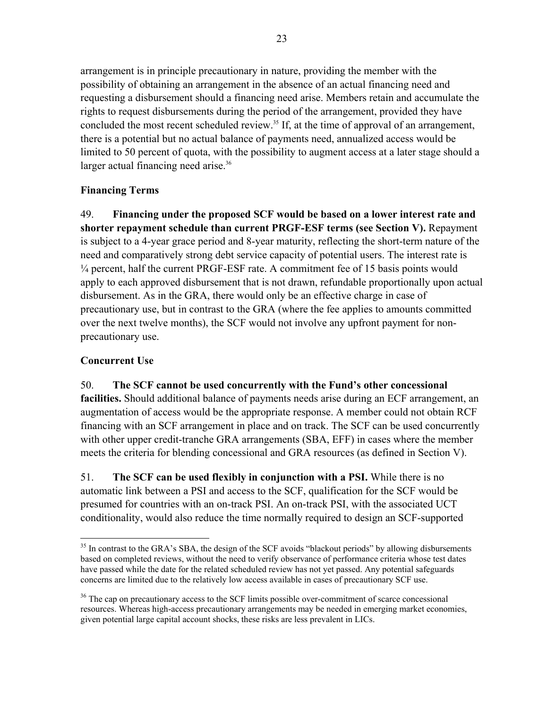arrangement is in principle precautionary in nature, providing the member with the possibility of obtaining an arrangement in the absence of an actual financing need and requesting a disbursement should a financing need arise. Members retain and accumulate the rights to request disbursements during the period of the arrangement, provided they have concluded the most recent scheduled review.<sup>35</sup> If, at the time of approval of an arrangement, there is a potential but no actual balance of payments need, annualized access would be limited to 50 percent of quota, with the possibility to augment access at a later stage should a larger actual financing need arise.<sup>36</sup>

## **Financing Terms**

49. **Financing under the proposed SCF would be based on a lower interest rate and shorter repayment schedule than current PRGF-ESF terms (see Section V).** Repayment is subject to a 4-year grace period and 8-year maturity, reflecting the short-term nature of the need and comparatively strong debt service capacity of potential users. The interest rate is ¼ percent, half the current PRGF-ESF rate. A commitment fee of 15 basis points would apply to each approved disbursement that is not drawn, refundable proportionally upon actual disbursement. As in the GRA, there would only be an effective charge in case of precautionary use, but in contrast to the GRA (where the fee applies to amounts committed over the next twelve months), the SCF would not involve any upfront payment for nonprecautionary use.

# **Concurrent Use**

## 50. **The SCF cannot be used concurrently with the Fund's other concessional**

**facilities.** Should additional balance of payments needs arise during an ECF arrangement, an augmentation of access would be the appropriate response. A member could not obtain RCF financing with an SCF arrangement in place and on track. The SCF can be used concurrently with other upper credit-tranche GRA arrangements (SBA, EFF) in cases where the member meets the criteria for blending concessional and GRA resources (as defined in Section V).

51. **The SCF can be used flexibly in conjunction with a PSI.** While there is no automatic link between a PSI and access to the SCF, qualification for the SCF would be presumed for countries with an on-track PSI. An on-track PSI, with the associated UCT conditionality, would also reduce the time normally required to design an SCF-supported

 $\overline{a}$  $35$  In contrast to the GRA's SBA, the design of the SCF avoids "blackout periods" by allowing disbursements based on completed reviews, without the need to verify observance of performance criteria whose test dates have passed while the date for the related scheduled review has not yet passed. Any potential safeguards concerns are limited due to the relatively low access available in cases of precautionary SCF use.

<sup>&</sup>lt;sup>36</sup> The cap on precautionary access to the SCF limits possible over-commitment of scarce concessional resources. Whereas high-access precautionary arrangements may be needed in emerging market economies, given potential large capital account shocks, these risks are less prevalent in LICs.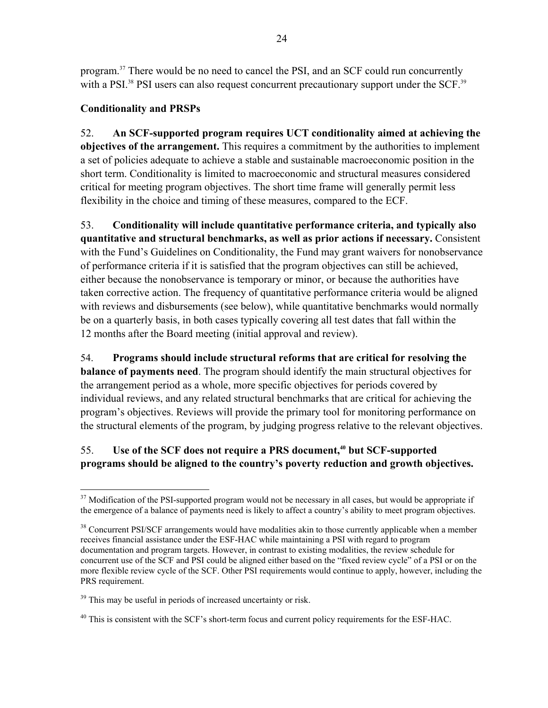program.37 There would be no need to cancel the PSI, and an SCF could run concurrently with a PSI.<sup>38</sup> PSI users can also request concurrent precautionary support under the SCF.<sup>39</sup>

## **Conditionality and PRSPs**

52. **An SCF-supported program requires UCT conditionality aimed at achieving the objectives of the arrangement.** This requires a commitment by the authorities to implement a set of policies adequate to achieve a stable and sustainable macroeconomic position in the short term. Conditionality is limited to macroeconomic and structural measures considered critical for meeting program objectives. The short time frame will generally permit less flexibility in the choice and timing of these measures, compared to the ECF.

53. **Conditionality will include quantitative performance criteria, and typically also quantitative and structural benchmarks, as well as prior actions if necessary.** Consistent with the Fund's Guidelines on Conditionality, the Fund may grant waivers for nonobservance of performance criteria if it is satisfied that the program objectives can still be achieved, either because the nonobservance is temporary or minor, or because the authorities have taken corrective action. The frequency of quantitative performance criteria would be aligned with reviews and disbursements (see below), while quantitative benchmarks would normally be on a quarterly basis, in both cases typically covering all test dates that fall within the 12 months after the Board meeting (initial approval and review).

# 54. **Programs should include structural reforms that are critical for resolving the balance of payments need**. The program should identify the main structural objectives for the arrangement period as a whole, more specific objectives for periods covered by individual reviews, and any related structural benchmarks that are critical for achieving the program's objectives. Reviews will provide the primary tool for monitoring performance on the structural elements of the program, by judging progress relative to the relevant objectives.

# 55. **Use of the SCF does not require a PRS document,<sup>40</sup> but SCF-supported programs should be aligned to the country's poverty reduction and growth objectives.**

<sup>1</sup> <sup>37</sup> Modification of the PSI-supported program would not be necessary in all cases, but would be appropriate if the emergence of a balance of payments need is likely to affect a country's ability to meet program objectives.

<sup>&</sup>lt;sup>38</sup> Concurrent PSI/SCF arrangements would have modalities akin to those currently applicable when a member receives financial assistance under the ESF-HAC while maintaining a PSI with regard to program documentation and program targets. However, in contrast to existing modalities, the review schedule for concurrent use of the SCF and PSI could be aligned either based on the "fixed review cycle" of a PSI or on the more flexible review cycle of the SCF. Other PSI requirements would continue to apply, however, including the PRS requirement.

<sup>&</sup>lt;sup>39</sup> This may be useful in periods of increased uncertainty or risk.

<sup>&</sup>lt;sup>40</sup> This is consistent with the SCF's short-term focus and current policy requirements for the ESF-HAC.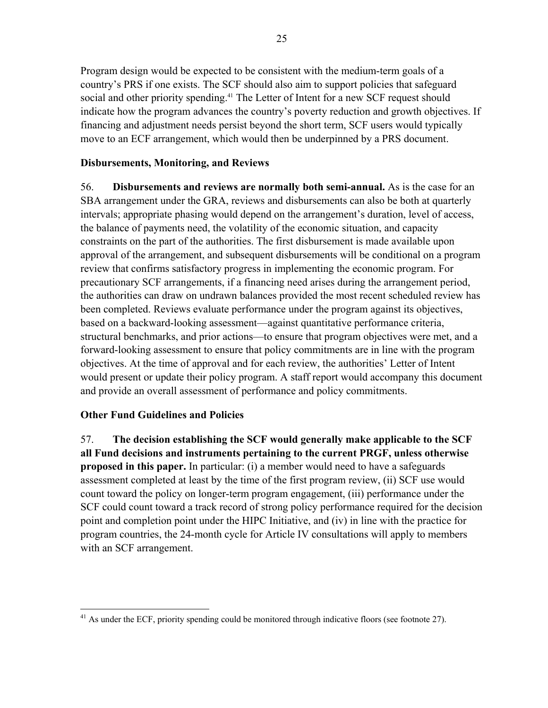Program design would be expected to be consistent with the medium-term goals of a country's PRS if one exists. The SCF should also aim to support policies that safeguard social and other priority spending.<sup>41</sup> The Letter of Intent for a new SCF request should indicate how the program advances the country's poverty reduction and growth objectives. If financing and adjustment needs persist beyond the short term, SCF users would typically move to an ECF arrangement, which would then be underpinned by a PRS document.

## **Disbursements, Monitoring, and Reviews**

56. **Disbursements and reviews are normally both semi-annual.** As is the case for an SBA arrangement under the GRA, reviews and disbursements can also be both at quarterly intervals; appropriate phasing would depend on the arrangement's duration, level of access, the balance of payments need, the volatility of the economic situation, and capacity constraints on the part of the authorities. The first disbursement is made available upon approval of the arrangement, and subsequent disbursements will be conditional on a program review that confirms satisfactory progress in implementing the economic program. For precautionary SCF arrangements, if a financing need arises during the arrangement period, the authorities can draw on undrawn balances provided the most recent scheduled review has been completed. Reviews evaluate performance under the program against its objectives, based on a backward-looking assessment—against quantitative performance criteria, structural benchmarks, and prior actions—to ensure that program objectives were met, and a forward-looking assessment to ensure that policy commitments are in line with the program objectives. At the time of approval and for each review, the authorities' Letter of Intent would present or update their policy program. A staff report would accompany this document and provide an overall assessment of performance and policy commitments.

## **Other Fund Guidelines and Policies**

57. **The decision establishing the SCF would generally make applicable to the SCF all Fund decisions and instruments pertaining to the current PRGF, unless otherwise proposed in this paper.** In particular: (i) a member would need to have a safeguards assessment completed at least by the time of the first program review, (ii) SCF use would count toward the policy on longer-term program engagement, (iii) performance under the SCF could count toward a track record of strong policy performance required for the decision point and completion point under the HIPC Initiative, and (iv) in line with the practice for program countries, the 24-month cycle for Article IV consultations will apply to members with an SCF arrangement.

 $\overline{a}$  $41$  As under the ECF, priority spending could be monitored through indicative floors (see footnote 27).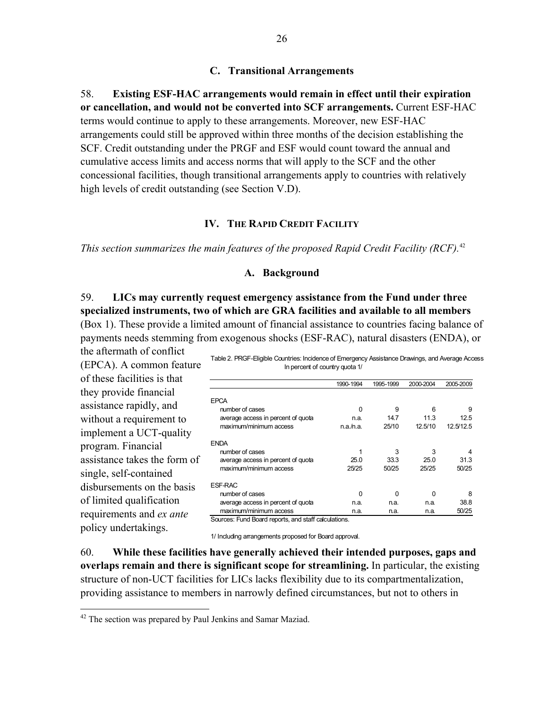#### **C. Transitional Arrangements**

58. **Existing ESF-HAC arrangements would remain in effect until their expiration or cancellation, and would not be converted into SCF arrangements.** Current ESF-HAC terms would continue to apply to these arrangements. Moreover, new ESF-HAC arrangements could still be approved within three months of the decision establishing the SCF. Credit outstanding under the PRGF and ESF would count toward the annual and cumulative access limits and access norms that will apply to the SCF and the other concessional facilities, though transitional arrangements apply to countries with relatively high levels of credit outstanding (see Section V.D).

#### **IV. THE RAPID CREDIT FACILITY**

*This section summarizes the main features of the proposed Rapid Credit Facility (RCF).*<sup>42</sup>

#### **A. Background**

59. **LICs may currently request emergency assistance from the Fund under three specialized instruments, two of which are GRA facilities and available to all members** 

(Box 1). These provide a limited amount of financial assistance to countries facing balance of payments needs stemming from exogenous shocks (ESF-RAC), natural disasters (ENDA), or the aftermath of conflict

(EPCA). A common feature of these facilities is that they provide financial assistance rapidly, and without a requirement to implement a UCT-quality program. Financial assistance takes the form of single, self-contained disbursements on the basis of limited qualification requirements and *ex ante* policy undertakings.

1

Table 2. PRGF-Eligible Countries: Incidence of Emergency Assistance Drawings, and Average Access In percent of country quota 1/

|                                    | 1990-1994 | 1995-1999 | 2000-2004 | 2005-2009 |
|------------------------------------|-----------|-----------|-----------|-----------|
| EPCA                               |           |           |           |           |
| number of cases                    | O         | 9         | 6         | 9         |
|                                    |           |           |           |           |
| average access in percent of quota | n.a.      | 14.7      | 11.3      | 12.5      |
| maximum/minimum access             | n.a.n.a.  | 25/10     | 12.5/10   | 12.5/12.5 |
| <b>FNDA</b>                        |           |           |           |           |
| number of cases                    | 1         | 3         | 3         |           |
| average access in percent of quota | 25.0      | 33.3      | 25.0      | 31.3      |
| maximum/minimum access             | 25/25     | 50/25     | 25/25     | 50/25     |
| <b>FSE-RAC</b>                     |           |           |           |           |
| number of cases                    | ŋ         | ŋ         | ŋ         | 8         |
| average access in percent of quota | n.a.      | n.a.      | n.a.      | 38.8      |
| maximum/minimum access             | n.a.      | n.a.      | n.a.      | 50/25     |

Sources: Fund Board reports, and staff calculations.

1/ Including arrangements proposed for Board approval.

60. **While these facilities have generally achieved their intended purposes, gaps and overlaps remain and there is significant scope for streamlining.** In particular, the existing structure of non-UCT facilities for LICs lacks flexibility due to its compartmentalization, providing assistance to members in narrowly defined circumstances, but not to others in

 $42$  The section was prepared by Paul Jenkins and Samar Maziad.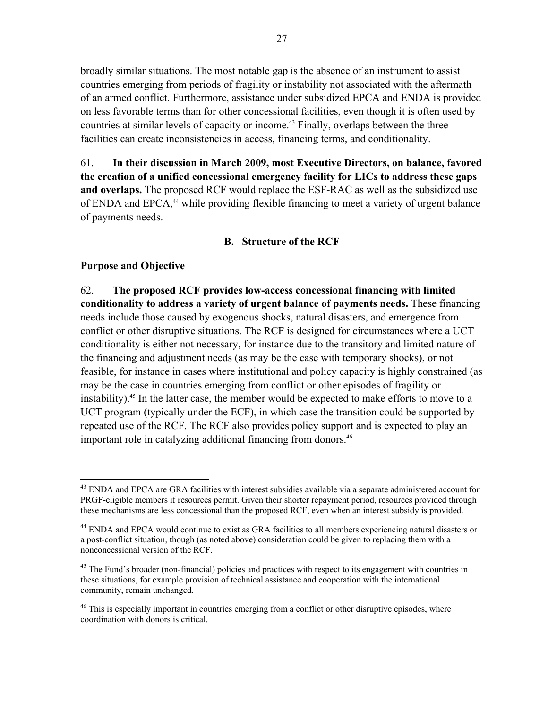broadly similar situations. The most notable gap is the absence of an instrument to assist countries emerging from periods of fragility or instability not associated with the aftermath of an armed conflict. Furthermore, assistance under subsidized EPCA and ENDA is provided on less favorable terms than for other concessional facilities, even though it is often used by countries at similar levels of capacity or income.<sup>43</sup> Finally, overlaps between the three facilities can create inconsistencies in access, financing terms, and conditionality.

61. **In their discussion in March 2009, most Executive Directors, on balance, favored the creation of a unified concessional emergency facility for LICs to address these gaps and overlaps.** The proposed RCF would replace the ESF-RAC as well as the subsidized use of ENDA and EPCA,<sup>44</sup> while providing flexible financing to meet a variety of urgent balance of payments needs.

## **B. Structure of the RCF**

## **Purpose and Objective**

 $\overline{a}$ 

62. **The proposed RCF provides low-access concessional financing with limited conditionality to address a variety of urgent balance of payments needs.** These financing needs include those caused by exogenous shocks, natural disasters, and emergence from conflict or other disruptive situations. The RCF is designed for circumstances where a UCT conditionality is either not necessary, for instance due to the transitory and limited nature of the financing and adjustment needs (as may be the case with temporary shocks), or not feasible, for instance in cases where institutional and policy capacity is highly constrained (as may be the case in countries emerging from conflict or other episodes of fragility or instability).<sup>45</sup> In the latter case, the member would be expected to make efforts to move to a UCT program (typically under the ECF), in which case the transition could be supported by repeated use of the RCF. The RCF also provides policy support and is expected to play an important role in catalyzing additional financing from donors.<sup>46</sup>

<sup>&</sup>lt;sup>43</sup> ENDA and EPCA are GRA facilities with interest subsidies available via a separate administered account for PRGF-eligible members if resources permit. Given their shorter repayment period, resources provided through these mechanisms are less concessional than the proposed RCF, even when an interest subsidy is provided.

<sup>&</sup>lt;sup>44</sup> ENDA and EPCA would continue to exist as GRA facilities to all members experiencing natural disasters or a post-conflict situation, though (as noted above) consideration could be given to replacing them with a nonconcessional version of the RCF.

<sup>&</sup>lt;sup>45</sup> The Fund's broader (non-financial) policies and practices with respect to its engagement with countries in these situations, for example provision of technical assistance and cooperation with the international community, remain unchanged.

<sup>&</sup>lt;sup>46</sup> This is especially important in countries emerging from a conflict or other disruptive episodes, where coordination with donors is critical.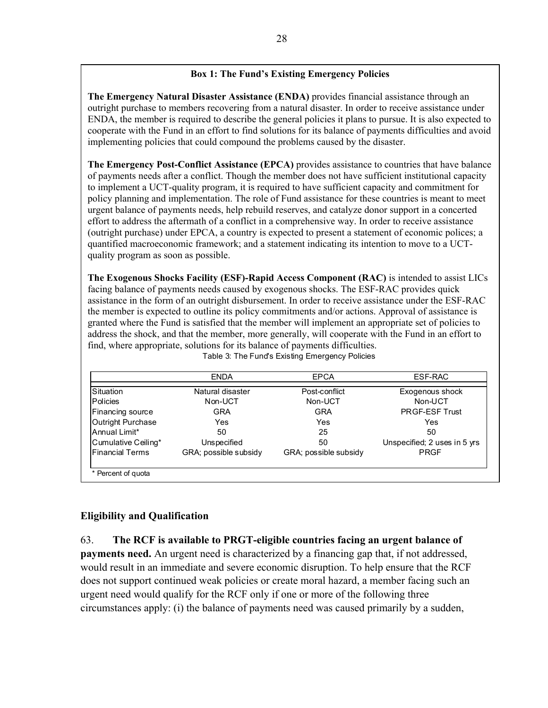## **Box 1: The Fund's Existing Emergency Policies**

**The Emergency Natural Disaster Assistance (ENDA)** provides financial assistance through an outright purchase to members recovering from a natural disaster. In order to receive assistance under ENDA, the member is required to describe the general policies it plans to pursue. It is also expected to cooperate with the Fund in an effort to find solutions for its balance of payments difficulties and avoid implementing policies that could compound the problems caused by the disaster.

**The Emergency Post-Conflict Assistance (EPCA)** provides assistance to countries that have balance of payments needs after a conflict. Though the member does not have sufficient institutional capacity to implement a UCT-quality program, it is required to have sufficient capacity and commitment for policy planning and implementation. The role of Fund assistance for these countries is meant to meet urgent balance of payments needs, help rebuild reserves, and catalyze donor support in a concerted effort to address the aftermath of a conflict in a comprehensive way. In order to receive assistance (outright purchase) under EPCA, a country is expected to present a statement of economic polices; a quantified macroeconomic framework; and a statement indicating its intention to move to a UCTquality program as soon as possible.

**The Exogenous Shocks Facility (ESF)-Rapid Access Component (RAC)** is intended to assist LICs facing balance of payments needs caused by exogenous shocks. The ESF-RAC provides quick assistance in the form of an outright disbursement. In order to receive assistance under the ESF-RAC the member is expected to outline its policy commitments and/or actions. Approval of assistance is granted where the Fund is satisfied that the member will implement an appropriate set of policies to address the shock, and that the member, more generally, will cooperate with the Fund in an effort to find, where appropriate, solutions for its balance of payments difficulties.

Table 3: The Fund's Existing Emergency Policies

|                        | <b>ENDA</b>           | <b>EPCA</b>           | ESF-RAC                      |
|------------------------|-----------------------|-----------------------|------------------------------|
| Situation              | Natural disaster      | Post-conflict         | Exogenous shock              |
| <b>Policies</b>        | Non-UCT               | Non-UCT               | Non-UCT                      |
| Financing source       | <b>GRA</b>            | <b>GRA</b>            | <b>PRGF-ESF Trust</b>        |
| Outright Purchase      | Yes                   | Yes                   | Yes                          |
| Annual Limit*          | 50                    | 25                    | 50                           |
| Cumulative Ceiling*    | Unspecified           | 50                    | Unspecified; 2 uses in 5 yrs |
| <b>Financial Terms</b> | GRA; possible subsidy | GRA; possible subsidy | <b>PRGF</b>                  |
| * Percent of quota     |                       |                       |                              |

# **Eligibility and Qualification**

63. **The RCF is available to PRGT-eligible countries facing an urgent balance of payments need.** An urgent need is characterized by a financing gap that, if not addressed, would result in an immediate and severe economic disruption. To help ensure that the RCF does not support continued weak policies or create moral hazard, a member facing such an urgent need would qualify for the RCF only if one or more of the following three circumstances apply: (i) the balance of payments need was caused primarily by a sudden,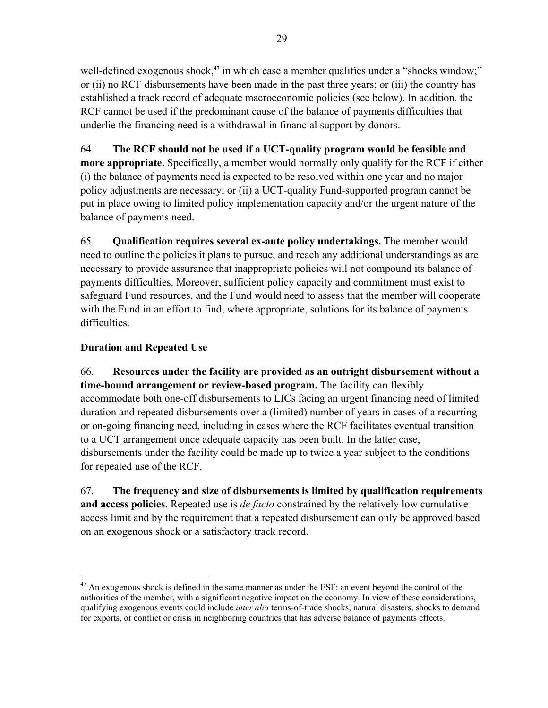well-defined exogenous shock,<sup>47</sup> in which case a member qualifies under a "shocks window;" or (ii) no RCF disbursements have been made in the past three years; or (iii) the country has established a track record of adequate macroeconomic policies (see below). In addition, the RCF cannot be used if the predominant cause of the balance of payments difficulties that underlie the financing need is a withdrawal in financial support by donors.

64. **The RCF should not be used if a UCT-quality program would be feasible and more appropriate.** Specifically, a member would normally only qualify for the RCF if either (i) the balance of payments need is expected to be resolved within one year and no major policy adjustments are necessary; or (ii) a UCT-quality Fund-supported program cannot be put in place owing to limited policy implementation capacity and/or the urgent nature of the balance of payments need.

65. **Qualification requires several ex-ante policy undertakings.** The member would need to outline the policies it plans to pursue, and reach any additional understandings as are necessary to provide assurance that inappropriate policies will not compound its balance of payments difficulties. Moreover, sufficient policy capacity and commitment must exist to safeguard Fund resources, and the Fund would need to assess that the member will cooperate with the Fund in an effort to find, where appropriate, solutions for its balance of payments difficulties.

# **Duration and Repeated Use**

66. **Resources under the facility are provided as an outright disbursement without a time-bound arrangement or review-based program.** The facility can flexibly accommodate both one-off disbursements to LICs facing an urgent financing need of limited duration and repeated disbursements over a (limited) number of years in cases of a recurring or on-going financing need, including in cases where the RCF facilitates eventual transition to a UCT arrangement once adequate capacity has been built. In the latter case, disbursements under the facility could be made up to twice a year subject to the conditions for repeated use of the RCF.

67. **The frequency and size of disbursements is limited by qualification requirements and access policies**. Repeated use is *de facto* constrained by the relatively low cumulative access limit and by the requirement that a repeated disbursement can only be approved based on an exogenous shock or a satisfactory track record.

 $\overline{a}$  $47$  An exogenous shock is defined in the same manner as under the ESF: an event beyond the control of the authorities of the member, with a significant negative impact on the economy. In view of these considerations, qualifying exogenous events could include *inter alia* terms-of-trade shocks, natural disasters, shocks to demand for exports, or conflict or crisis in neighboring countries that has adverse balance of payments effects.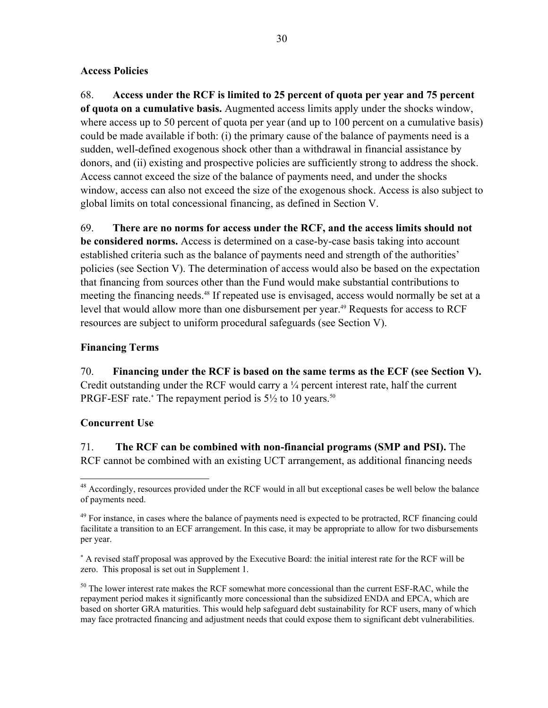## **Access Policies**

68. **Access under the RCF is limited to 25 percent of quota per year and 75 percent of quota on a cumulative basis.** Augmented access limits apply under the shocks window, where access up to 50 percent of quota per year (and up to 100 percent on a cumulative basis) could be made available if both: (i) the primary cause of the balance of payments need is a sudden, well-defined exogenous shock other than a withdrawal in financial assistance by donors, and (ii) existing and prospective policies are sufficiently strong to address the shock. Access cannot exceed the size of the balance of payments need, and under the shocks window, access can also not exceed the size of the exogenous shock. Access is also subject to global limits on total concessional financing, as defined in Section V.

69. **There are no norms for access under the RCF, and the access limits should not be considered norms.** Access is determined on a case-by-case basis taking into account established criteria such as the balance of payments need and strength of the authorities' policies (see Section V). The determination of access would also be based on the expectation that financing from sources other than the Fund would make substantial contributions to meeting the financing needs.<sup>48</sup> If repeated use is envisaged, access would normally be set at a level that would allow more than one disbursement per year.<sup>49</sup> Requests for access to RCF resources are subject to uniform procedural safeguards (see Section V).

## **Financing Terms**

70. **Financing under the RCF is based on the same terms as the ECF (see Section V).**  Credit outstanding under the RCF would carry a ¼ percent interest rate, half the current PRGF-ESF rate.\* The repayment period is  $5\frac{1}{2}$  to 10 years.<sup>50</sup>

## **Concurrent Use**

<u>.</u>

71. **The RCF can be combined with non-financial programs (SMP and PSI).** The RCF cannot be combined with an existing UCT arrangement, as additional financing needs

<sup>&</sup>lt;sup>48</sup> Accordingly, resources provided under the RCF would in all but exceptional cases be well below the balance of payments need.

<sup>&</sup>lt;sup>49</sup> For instance, in cases where the balance of payments need is expected to be protracted, RCF financing could facilitate a transition to an ECF arrangement. In this case, it may be appropriate to allow for two disbursements per year.

 A revised staff proposal was approved by the Executive Board: the initial interest rate for the RCF will be zero. This proposal is set out in Supplement 1.

<sup>&</sup>lt;sup>50</sup> The lower interest rate makes the RCF somewhat more concessional than the current ESF-RAC, while the repayment period makes it significantly more concessional than the subsidized ENDA and EPCA, which are based on shorter GRA maturities. This would help safeguard debt sustainability for RCF users, many of which may face protracted financing and adjustment needs that could expose them to significant debt vulnerabilities.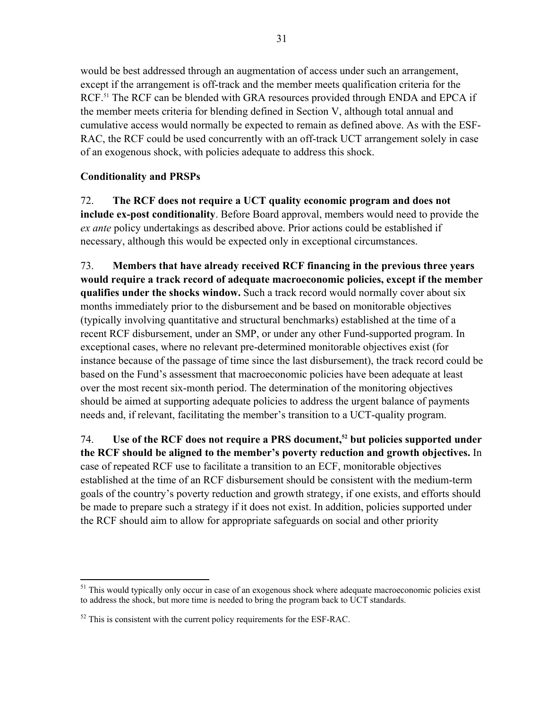would be best addressed through an augmentation of access under such an arrangement, except if the arrangement is off-track and the member meets qualification criteria for the RCF.<sup>51</sup> The RCF can be blended with GRA resources provided through ENDA and EPCA if the member meets criteria for blending defined in Section V, although total annual and cumulative access would normally be expected to remain as defined above. As with the ESF-RAC, the RCF could be used concurrently with an off-track UCT arrangement solely in case of an exogenous shock, with policies adequate to address this shock.

## **Conditionality and PRSPs**

72. **The RCF does not require a UCT quality economic program and does not include ex-post conditionality**. Before Board approval, members would need to provide the *ex ante* policy undertakings as described above. Prior actions could be established if necessary, although this would be expected only in exceptional circumstances.

73. **Members that have already received RCF financing in the previous three years would require a track record of adequate macroeconomic policies, except if the member qualifies under the shocks window.** Such a track record would normally cover about six months immediately prior to the disbursement and be based on monitorable objectives (typically involving quantitative and structural benchmarks) established at the time of a recent RCF disbursement, under an SMP, or under any other Fund-supported program. In exceptional cases, where no relevant pre-determined monitorable objectives exist (for instance because of the passage of time since the last disbursement), the track record could be based on the Fund's assessment that macroeconomic policies have been adequate at least over the most recent six-month period. The determination of the monitoring objectives should be aimed at supporting adequate policies to address the urgent balance of payments needs and, if relevant, facilitating the member's transition to a UCT-quality program.

74. **Use of the RCF does not require a PRS document,52 but policies supported under the RCF should be aligned to the member's poverty reduction and growth objectives.** In case of repeated RCF use to facilitate a transition to an ECF, monitorable objectives established at the time of an RCF disbursement should be consistent with the medium-term goals of the country's poverty reduction and growth strategy, if one exists, and efforts should be made to prepare such a strategy if it does not exist. In addition, policies supported under the RCF should aim to allow for appropriate safeguards on social and other priority

 $\overline{a}$ <sup>51</sup> This would typically only occur in case of an exogenous shock where adequate macroeconomic policies exist to address the shock, but more time is needed to bring the program back to UCT standards.

 $52$  This is consistent with the current policy requirements for the ESF-RAC.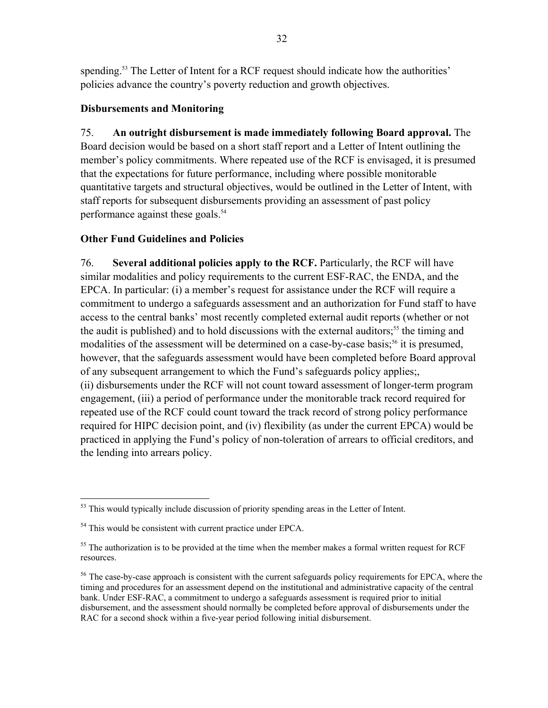spending.<sup>53</sup> The Letter of Intent for a RCF request should indicate how the authorities' policies advance the country's poverty reduction and growth objectives.

## **Disbursements and Monitoring**

75. **An outright disbursement is made immediately following Board approval.** The Board decision would be based on a short staff report and a Letter of Intent outlining the member's policy commitments. Where repeated use of the RCF is envisaged, it is presumed that the expectations for future performance, including where possible monitorable quantitative targets and structural objectives, would be outlined in the Letter of Intent, with staff reports for subsequent disbursements providing an assessment of past policy performance against these goals.<sup>54</sup>

# **Other Fund Guidelines and Policies**

76. **Several additional policies apply to the RCF.** Particularly, the RCF will have similar modalities and policy requirements to the current ESF-RAC, the ENDA, and the EPCA. In particular: (i) a member's request for assistance under the RCF will require a commitment to undergo a safeguards assessment and an authorization for Fund staff to have access to the central banks' most recently completed external audit reports (whether or not the audit is published) and to hold discussions with the external auditors;<sup>55</sup> the timing and modalities of the assessment will be determined on a case-by-case basis;<sup>56</sup> it is presumed, however, that the safeguards assessment would have been completed before Board approval of any subsequent arrangement to which the Fund's safeguards policy applies;, (ii) disbursements under the RCF will not count toward assessment of longer-term program engagement, (iii) a period of performance under the monitorable track record required for repeated use of the RCF could count toward the track record of strong policy performance required for HIPC decision point, and (iv) flexibility (as under the current EPCA) would be practiced in applying the Fund's policy of non-toleration of arrears to official creditors, and the lending into arrears policy.

 $\overline{a}$  $53$  This would typically include discussion of priority spending areas in the Letter of Intent.

<sup>54</sup> This would be consistent with current practice under EPCA.

 $55$  The authorization is to be provided at the time when the member makes a formal written request for RCF resources.

<sup>&</sup>lt;sup>56</sup> The case-by-case approach is consistent with the current safeguards policy requirements for EPCA, where the timing and procedures for an assessment depend on the institutional and administrative capacity of the central bank. Under ESF-RAC, a commitment to undergo a safeguards assessment is required prior to initial disbursement, and the assessment should normally be completed before approval of disbursements under the RAC for a second shock within a five-year period following initial disbursement.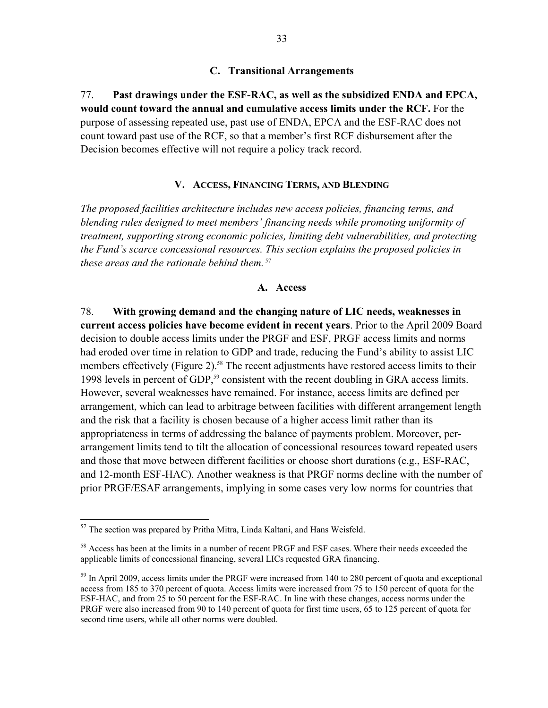77. **Past drawings under the ESF-RAC, as well as the subsidized ENDA and EPCA, would count toward the annual and cumulative access limits under the RCF.** For the purpose of assessing repeated use, past use of ENDA, EPCA and the ESF-RAC does not count toward past use of the RCF, so that a member's first RCF disbursement after the Decision becomes effective will not require a policy track record.

## **V. ACCESS, FINANCING TERMS, AND BLENDING**

*The proposed facilities architecture includes new access policies, financing terms, and blending rules designed to meet members' financing needs while promoting uniformity of treatment, supporting strong economic policies, limiting debt vulnerabilities, and protecting the Fund's scarce concessional resources. This section explains the proposed policies in these areas and the rationale behind them.*<sup>57</sup>

## **A. Access**

78. **With growing demand and the changing nature of LIC needs, weaknesses in current access policies have become evident in recent years**. Prior to the April 2009 Board decision to double access limits under the PRGF and ESF, PRGF access limits and norms had eroded over time in relation to GDP and trade, reducing the Fund's ability to assist LIC members effectively (Figure 2).<sup>58</sup> The recent adjustments have restored access limits to their 1998 levels in percent of GDP,<sup>59</sup> consistent with the recent doubling in GRA access limits. However, several weaknesses have remained. For instance, access limits are defined per arrangement, which can lead to arbitrage between facilities with different arrangement length and the risk that a facility is chosen because of a higher access limit rather than its appropriateness in terms of addressing the balance of payments problem. Moreover, perarrangement limits tend to tilt the allocation of concessional resources toward repeated users and those that move between different facilities or choose short durations (e.g., ESF-RAC, and 12-month ESF-HAC). Another weakness is that PRGF norms decline with the number of prior PRGF/ESAF arrangements, implying in some cases very low norms for countries that

1

 $57$  The section was prepared by Pritha Mitra, Linda Kaltani, and Hans Weisfeld.

<sup>&</sup>lt;sup>58</sup> Access has been at the limits in a number of recent PRGF and ESF cases. Where their needs exceeded the applicable limits of concessional financing, several LICs requested GRA financing.

 $<sup>59</sup>$  In April 2009, access limits under the PRGF were increased from 140 to 280 percent of quota and exceptional</sup> access from 185 to 370 percent of quota. Access limits were increased from 75 to 150 percent of quota for the ESF-HAC, and from 25 to 50 percent for the ESF-RAC. In line with these changes, access norms under the PRGF were also increased from 90 to 140 percent of quota for first time users, 65 to 125 percent of quota for second time users, while all other norms were doubled.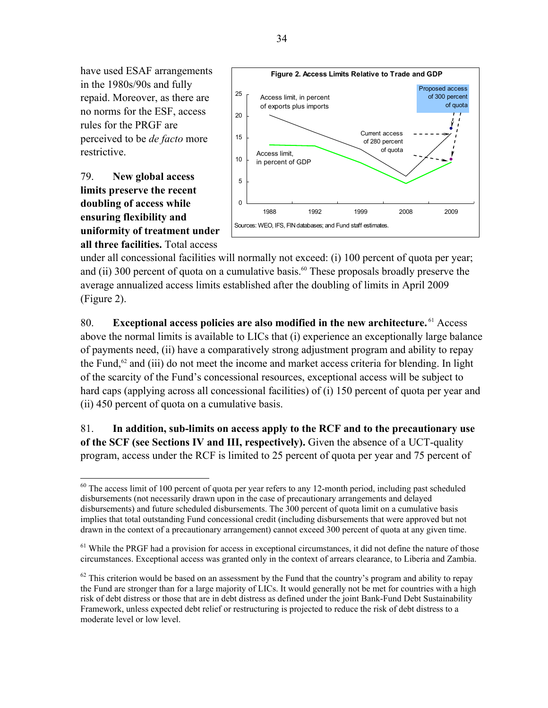have used ESAF arrangements in the 1980s/90s and fully repaid. Moreover, as there are no norms for the ESF, access rules for the PRGF are perceived to be *de facto* more restrictive.

79. **New global access limits preserve the recent doubling of access while ensuring flexibility and uniformity of treatment under all three facilities.** Total access



under all concessional facilities will normally not exceed: (i) 100 percent of quota per year; and (ii) 300 percent of quota on a cumulative basis.<sup>60</sup> These proposals broadly preserve the average annualized access limits established after the doubling of limits in April 2009 (Figure 2).

80. **Exceptional access policies are also modified in the new architecture.** 61 Access above the normal limits is available to LICs that (i) experience an exceptionally large balance of payments need, (ii) have a comparatively strong adjustment program and ability to repay the Fund, $62$  and (iii) do not meet the income and market access criteria for blending. In light of the scarcity of the Fund's concessional resources, exceptional access will be subject to hard caps (applying across all concessional facilities) of (i) 150 percent of quota per year and (ii) 450 percent of quota on a cumulative basis.

81. **In addition, sub-limits on access apply to the RCF and to the precautionary use of the SCF (see Sections IV and III, respectively).** Given the absence of a UCT-quality program, access under the RCF is limited to 25 percent of quota per year and 75 percent of

 $\overline{a}$  $60$  The access limit of 100 percent of quota per year refers to any 12-month period, including past scheduled disbursements (not necessarily drawn upon in the case of precautionary arrangements and delayed disbursements) and future scheduled disbursements. The 300 percent of quota limit on a cumulative basis implies that total outstanding Fund concessional credit (including disbursements that were approved but not drawn in the context of a precautionary arrangement) cannot exceed 300 percent of quota at any given time.

 $<sup>61</sup>$  While the PRGF had a provision for access in exceptional circumstances, it did not define the nature of those</sup> circumstances. Exceptional access was granted only in the context of arrears clearance, to Liberia and Zambia.

 $62$  This criterion would be based on an assessment by the Fund that the country's program and ability to repay the Fund are stronger than for a large majority of LICs. It would generally not be met for countries with a high risk of debt distress or those that are in debt distress as defined under the joint Bank-Fund Debt Sustainability Framework, unless expected debt relief or restructuring is projected to reduce the risk of debt distress to a moderate level or low level.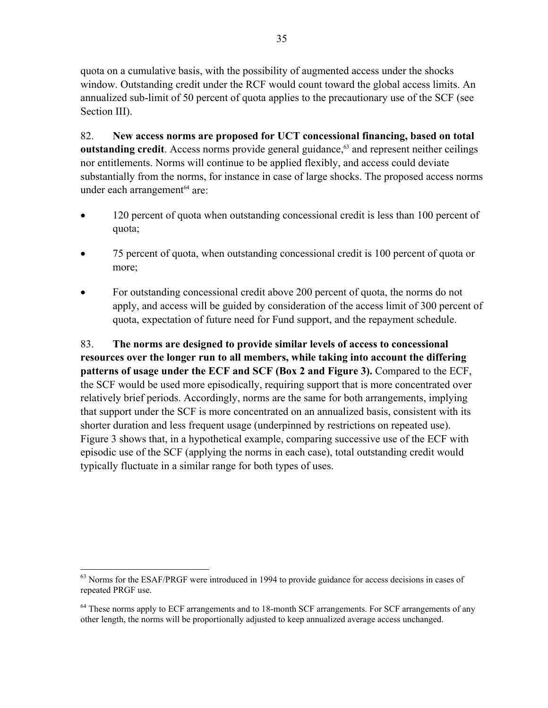quota on a cumulative basis, with the possibility of augmented access under the shocks window. Outstanding credit under the RCF would count toward the global access limits. An annualized sub-limit of 50 percent of quota applies to the precautionary use of the SCF (see Section III).

82. **New access norms are proposed for UCT concessional financing, based on total outstanding credit**. Access norms provide general guidance,<sup>63</sup> and represent neither ceilings nor entitlements. Norms will continue to be applied flexibly, and access could deviate substantially from the norms, for instance in case of large shocks. The proposed access norms under each arrangement $64$  are:

- 120 percent of quota when outstanding concessional credit is less than 100 percent of quota;
- 75 percent of quota, when outstanding concessional credit is 100 percent of quota or more;
- For outstanding concessional credit above 200 percent of quota, the norms do not apply, and access will be guided by consideration of the access limit of 300 percent of quota, expectation of future need for Fund support, and the repayment schedule.

83. **The norms are designed to provide similar levels of access to concessional resources over the longer run to all members, while taking into account the differing patterns of usage under the ECF and SCF (Box 2 and Figure 3).** Compared to the ECF, the SCF would be used more episodically, requiring support that is more concentrated over relatively brief periods. Accordingly, norms are the same for both arrangements, implying that support under the SCF is more concentrated on an annualized basis, consistent with its shorter duration and less frequent usage (underpinned by restrictions on repeated use). Figure 3 shows that, in a hypothetical example, comparing successive use of the ECF with episodic use of the SCF (applying the norms in each case), total outstanding credit would typically fluctuate in a similar range for both types of uses.

<u>.</u>

<sup>&</sup>lt;sup>63</sup> Norms for the ESAF/PRGF were introduced in 1994 to provide guidance for access decisions in cases of repeated PRGF use.

<sup>&</sup>lt;sup>64</sup> These norms apply to ECF arrangements and to 18-month SCF arrangements. For SCF arrangements of any other length, the norms will be proportionally adjusted to keep annualized average access unchanged.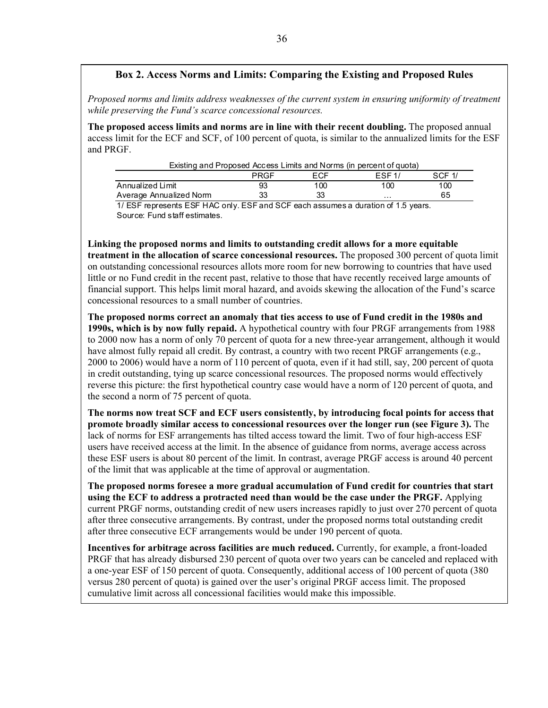## **Box 2. Access Norms and Limits: Comparing the Existing and Proposed Rules**

*Proposed norms and limits address weaknesses of the current system in ensuring uniformity of treatment while preserving the Fund's scarce concessional resources.* 

**The proposed access limits and norms are in line with their recent doubling.** The proposed annual access limit for the ECF and SCF, of 100 percent of quota, is similar to the annualized limits for the ESF and PRGF.

|                         | PRGF                                                                                                                                                                                                         | <b>FCF</b> | FSF1/ | SCF 1/ |
|-------------------------|--------------------------------------------------------------------------------------------------------------------------------------------------------------------------------------------------------------|------------|-------|--------|
| Annualized Limit        | 93                                                                                                                                                                                                           | 100        | 100   | 100    |
| Average Annualized Norm | 33                                                                                                                                                                                                           |            | .     | 65     |
|                         | Existing and Proposed Access Limits and Norms (in percent of quota)<br>$A \cup P \cap P$ access to $A \cup P \cap P \cup A \cap P$ and $A \cap P$ and $A \cap P$ and $A \cap P \cap P$ and $A \cap P \cap P$ |            |       |        |

1/ ESF represents ESF HAC only. ESF and SCF each assumes a duration of 1.5 years. Source: Fund staff estimates.

**Linking the proposed norms and limits to outstanding credit allows for a more equitable treatment in the allocation of scarce concessional resources.** The proposed 300 percent of quota limit on outstanding concessional resources allots more room for new borrowing to countries that have used little or no Fund credit in the recent past, relative to those that have recently received large amounts of financial support. This helps limit moral hazard, and avoids skewing the allocation of the Fund's scarce concessional resources to a small number of countries.

**The proposed norms correct an anomaly that ties access to use of Fund credit in the 1980s and 1990s, which is by now fully repaid.** A hypothetical country with four PRGF arrangements from 1988 to 2000 now has a norm of only 70 percent of quota for a new three-year arrangement, although it would have almost fully repaid all credit. By contrast, a country with two recent PRGF arrangements (e.g., 2000 to 2006) would have a norm of 110 percent of quota, even if it had still, say, 200 percent of quota in credit outstanding, tying up scarce concessional resources. The proposed norms would effectively reverse this picture: the first hypothetical country case would have a norm of 120 percent of quota, and the second a norm of 75 percent of quota.

**The norms now treat SCF and ECF users consistently, by introducing focal points for access that promote broadly similar access to concessional resources over the longer run (see Figure 3).** The lack of norms for ESF arrangements has tilted access toward the limit. Two of four high-access ESF users have received access at the limit. In the absence of guidance from norms, average access across these ESF users is about 80 percent of the limit. In contrast, average PRGF access is around 40 percent of the limit that was applicable at the time of approval or augmentation.

**The proposed norms foresee a more gradual accumulation of Fund credit for countries that start using the ECF to address a protracted need than would be the case under the PRGF.** Applying current PRGF norms, outstanding credit of new users increases rapidly to just over 270 percent of quota after three consecutive arrangements. By contrast, under the proposed norms total outstanding credit after three consecutive ECF arrangements would be under 190 percent of quota.

**Incentives for arbitrage across facilities are much reduced.** Currently, for example, a front-loaded PRGF that has already disbursed 230 percent of quota over two years can be canceled and replaced with a one-year ESF of 150 percent of quota. Consequently, additional access of 100 percent of quota (380 versus 280 percent of quota) is gained over the user's original PRGF access limit. The proposed cumulative limit across all concessional facilities would make this impossible.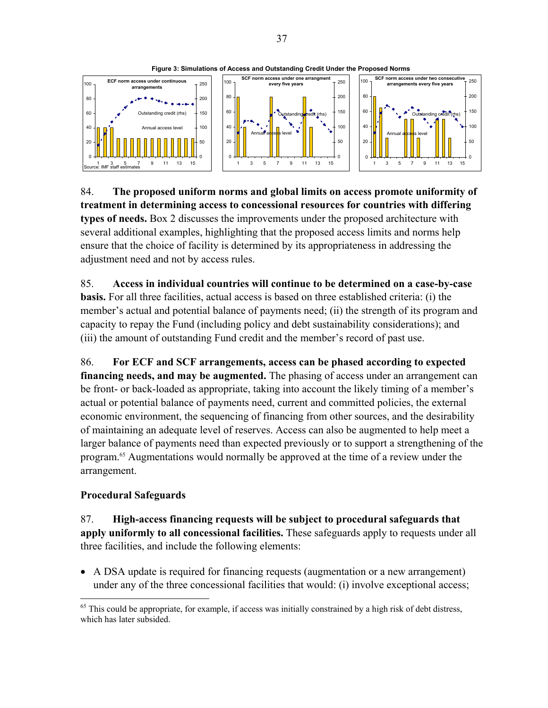

**Figure 3: Simulations of Access and Outstanding Credit Under the Proposed Norms** 

84. **The proposed uniform norms and global limits on access promote uniformity of treatment in determining access to concessional resources for countries with differing types of needs.** Box 2 discusses the improvements under the proposed architecture with several additional examples, highlighting that the proposed access limits and norms help ensure that the choice of facility is determined by its appropriateness in addressing the adjustment need and not by access rules.

85. **Access in individual countries will continue to be determined on a case-by-case basis.** For all three facilities, actual access is based on three established criteria: (i) the member's actual and potential balance of payments need; (ii) the strength of its program and capacity to repay the Fund (including policy and debt sustainability considerations); and (iii) the amount of outstanding Fund credit and the member's record of past use.

86. **For ECF and SCF arrangements, access can be phased according to expected financing needs, and may be augmented.** The phasing of access under an arrangement can be front- or back-loaded as appropriate, taking into account the likely timing of a member's actual or potential balance of payments need, current and committed policies, the external economic environment, the sequencing of financing from other sources, and the desirability of maintaining an adequate level of reserves. Access can also be augmented to help meet a larger balance of payments need than expected previously or to support a strengthening of the program.65 Augmentations would normally be approved at the time of a review under the arrangement.

## **Procedural Safeguards**

 $\overline{a}$ 

87. **High-access financing requests will be subject to procedural safeguards that apply uniformly to all concessional facilities.** These safeguards apply to requests under all three facilities, and include the following elements:

 A DSA update is required for financing requests (augmentation or a new arrangement) under any of the three concessional facilities that would: (i) involve exceptional access;

<sup>&</sup>lt;sup>65</sup> This could be appropriate, for example, if access was initially constrained by a high risk of debt distress, which has later subsided.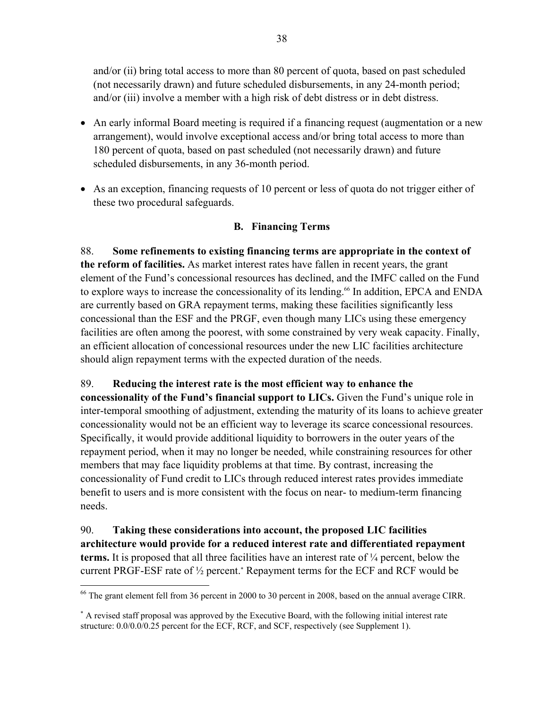and/or (ii) bring total access to more than 80 percent of quota, based on past scheduled (not necessarily drawn) and future scheduled disbursements, in any 24-month period; and/or (iii) involve a member with a high risk of debt distress or in debt distress.

- An early informal Board meeting is required if a financing request (augmentation or a new arrangement), would involve exceptional access and/or bring total access to more than 180 percent of quota, based on past scheduled (not necessarily drawn) and future scheduled disbursements, in any 36-month period.
- As an exception, financing requests of 10 percent or less of quota do not trigger either of these two procedural safeguards.

## **B. Financing Terms**

88. **Some refinements to existing financing terms are appropriate in the context of the reform of facilities.** As market interest rates have fallen in recent years, the grant element of the Fund's concessional resources has declined, and the IMFC called on the Fund to explore ways to increase the concessionality of its lending.<sup>66</sup> In addition, EPCA and ENDA are currently based on GRA repayment terms, making these facilities significantly less concessional than the ESF and the PRGF, even though many LICs using these emergency facilities are often among the poorest, with some constrained by very weak capacity. Finally, an efficient allocation of concessional resources under the new LIC facilities architecture should align repayment terms with the expected duration of the needs.

89. **Reducing the interest rate is the most efficient way to enhance the concessionality of the Fund's financial support to LICs.** Given the Fund's unique role in inter-temporal smoothing of adjustment, extending the maturity of its loans to achieve greater concessionality would not be an efficient way to leverage its scarce concessional resources. Specifically, it would provide additional liquidity to borrowers in the outer years of the repayment period, when it may no longer be needed, while constraining resources for other members that may face liquidity problems at that time. By contrast, increasing the concessionality of Fund credit to LICs through reduced interest rates provides immediate benefit to users and is more consistent with the focus on near- to medium-term financing needs.

90. **Taking these considerations into account, the proposed LIC facilities architecture would provide for a reduced interest rate and differentiated repayment terms.** It is proposed that all three facilities have an interest rate of ¼ percent, below the current PRGF-ESF rate of  $\frac{1}{2}$  percent.<sup>\*</sup> Repayment terms for the ECF and RCF would be

 $\overline{a}$ 

 $66$  The grant element fell from 36 percent in 2000 to 30 percent in 2008, based on the annual average CIRR.

 A revised staff proposal was approved by the Executive Board, with the following initial interest rate structure: 0.0/0.0/0.25 percent for the ECF, RCF, and SCF, respectively (see Supplement 1).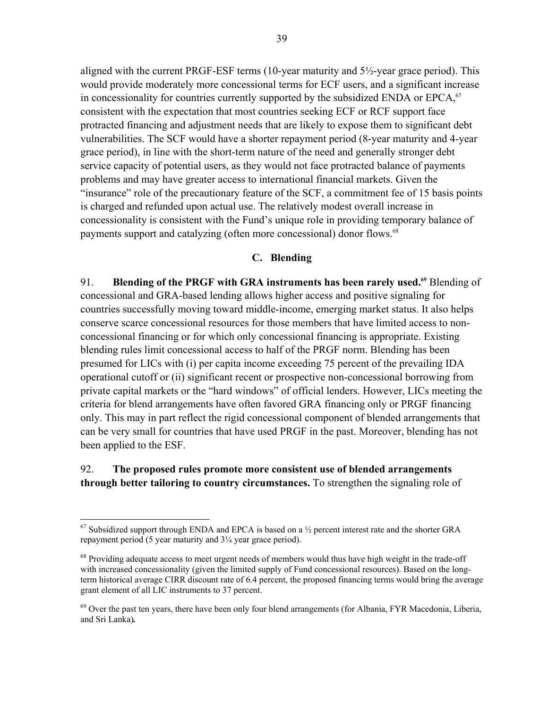aligned with the current PRGF-ESF terms (10-year maturity and 5½-year grace period). This would provide moderately more concessional terms for ECF users, and a significant increase in concessionality for countries currently supported by the subsidized ENDA or  $EPCA<sub>1</sub><sup>67</sup>$ consistent with the expectation that most countries seeking ECF or RCF support face protracted financing and adjustment needs that are likely to expose them to significant debt vulnerabilities. The SCF would have a shorter repayment period (8-year maturity and 4-year grace period), in line with the short-term nature of the need and generally stronger debt service capacity of potential users, as they would not face protracted balance of payments problems and may have greater access to international financial markets. Given the "insurance" role of the precautionary feature of the SCF, a commitment fee of 15 basis points is charged and refunded upon actual use. The relatively modest overall increase in concessionality is consistent with the Fund's unique role in providing temporary balance of payments support and catalyzing (often more concessional) donor flows.<sup>68</sup>

#### **C. Blending**

91. **Blending of the PRGF with GRA instruments has been rarely used.<sup>69</sup> Blending of** concessional and GRA-based lending allows higher access and positive signaling for countries successfully moving toward middle-income, emerging market status. It also helps conserve scarce concessional resources for those members that have limited access to nonconcessional financing or for which only concessional financing is appropriate. Existing blending rules limit concessional access to half of the PRGF norm. Blending has been presumed for LICs with (i) per capita income exceeding 75 percent of the prevailing IDA operational cutoff or (ii) significant recent or prospective non-concessional borrowing from private capital markets or the "hard windows" of official lenders. However, LICs meeting the criteria for blend arrangements have often favored GRA financing only or PRGF financing only. This may in part reflect the rigid concessional component of blended arrangements that can be very small for countries that have used PRGF in the past. Moreover, blending has not been applied to the ESF.

## 92. **The proposed rules promote more consistent use of blended arrangements through better tailoring to country circumstances.** To strengthen the signaling role of

1

 $67$  Subsidized support through ENDA and EPCA is based on a  $\frac{1}{2}$  percent interest rate and the shorter GRA repayment period (5 year maturity and 3¼ year grace period).

<sup>&</sup>lt;sup>68</sup> Providing adequate access to meet urgent needs of members would thus have high weight in the trade-off with increased concessionality (given the limited supply of Fund concessional resources). Based on the longterm historical average CIRR discount rate of 6.4 percent, the proposed financing terms would bring the average grant element of all LIC instruments to 37 percent.

 $^{69}$  Over the past ten years, there have been only four blend arrangements (for Albania, FYR Macedonia, Liberia, and Sri Lanka)*.*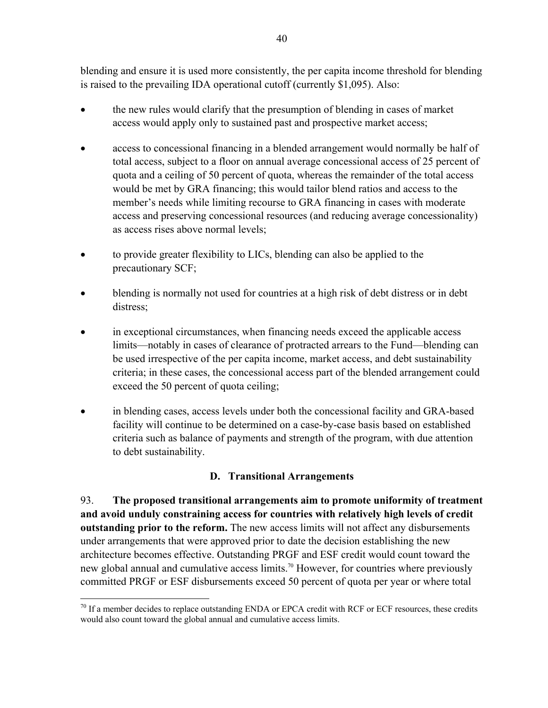blending and ensure it is used more consistently, the per capita income threshold for blending is raised to the prevailing IDA operational cutoff (currently \$1,095). Also:

- the new rules would clarify that the presumption of blending in cases of market access would apply only to sustained past and prospective market access;
- access to concessional financing in a blended arrangement would normally be half of total access, subject to a floor on annual average concessional access of 25 percent of quota and a ceiling of 50 percent of quota, whereas the remainder of the total access would be met by GRA financing; this would tailor blend ratios and access to the member's needs while limiting recourse to GRA financing in cases with moderate access and preserving concessional resources (and reducing average concessionality) as access rises above normal levels;
- to provide greater flexibility to LICs, blending can also be applied to the precautionary SCF;
- blending is normally not used for countries at a high risk of debt distress or in debt distress;
- in exceptional circumstances, when financing needs exceed the applicable access limits—notably in cases of clearance of protracted arrears to the Fund—blending can be used irrespective of the per capita income, market access, and debt sustainability criteria; in these cases, the concessional access part of the blended arrangement could exceed the 50 percent of quota ceiling;
- in blending cases, access levels under both the concessional facility and GRA-based facility will continue to be determined on a case-by-case basis based on established criteria such as balance of payments and strength of the program, with due attention to debt sustainability.

# **D. Transitional Arrangements**

93. **The proposed transitional arrangements aim to promote uniformity of treatment and avoid unduly constraining access for countries with relatively high levels of credit outstanding prior to the reform.** The new access limits will not affect any disbursements under arrangements that were approved prior to date the decision establishing the new architecture becomes effective. Outstanding PRGF and ESF credit would count toward the new global annual and cumulative access limits.<sup>70</sup> However, for countries where previously committed PRGF or ESF disbursements exceed 50 percent of quota per year or where total

<u>.</u>

 $70$  If a member decides to replace outstanding ENDA or EPCA credit with RCF or ECF resources, these credits would also count toward the global annual and cumulative access limits.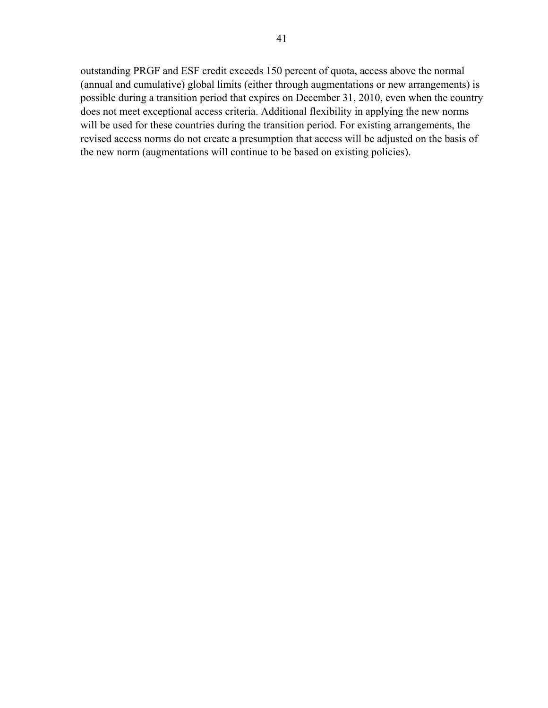outstanding PRGF and ESF credit exceeds 150 percent of quota, access above the normal (annual and cumulative) global limits (either through augmentations or new arrangements) is possible during a transition period that expires on December 31, 2010, even when the country does not meet exceptional access criteria. Additional flexibility in applying the new norms will be used for these countries during the transition period. For existing arrangements, the revised access norms do not create a presumption that access will be adjusted on the basis of the new norm (augmentations will continue to be based on existing policies).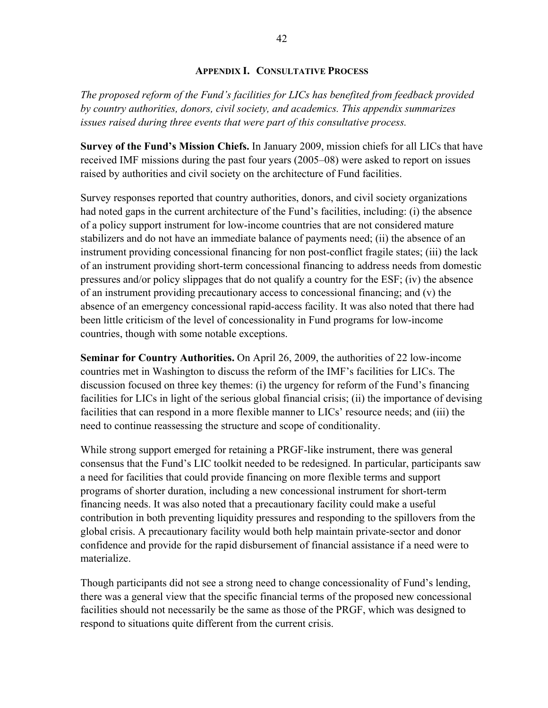#### **APPENDIX I. CONSULTATIVE PROCESS**

*The proposed reform of the Fund's facilities for LICs has benefited from feedback provided by country authorities, donors, civil society, and academics. This appendix summarizes issues raised during three events that were part of this consultative process.* 

**Survey of the Fund's Mission Chiefs.** In January 2009, mission chiefs for all LICs that have received IMF missions during the past four years (2005–08) were asked to report on issues raised by authorities and civil society on the architecture of Fund facilities.

Survey responses reported that country authorities, donors, and civil society organizations had noted gaps in the current architecture of the Fund's facilities, including: (i) the absence of a policy support instrument for low-income countries that are not considered mature stabilizers and do not have an immediate balance of payments need; (ii) the absence of an instrument providing concessional financing for non post-conflict fragile states; (iii) the lack of an instrument providing short-term concessional financing to address needs from domestic pressures and/or policy slippages that do not qualify a country for the ESF; (iv) the absence of an instrument providing precautionary access to concessional financing; and (v) the absence of an emergency concessional rapid-access facility. It was also noted that there had been little criticism of the level of concessionality in Fund programs for low-income countries, though with some notable exceptions.

**Seminar for Country Authorities.** On April 26, 2009, the authorities of 22 low-income countries met in Washington to discuss the reform of the IMF's facilities for LICs. The discussion focused on three key themes: (i) the urgency for reform of the Fund's financing facilities for LICs in light of the serious global financial crisis; (ii) the importance of devising facilities that can respond in a more flexible manner to LICs' resource needs; and (iii) the need to continue reassessing the structure and scope of conditionality.

While strong support emerged for retaining a PRGF-like instrument, there was general consensus that the Fund's LIC toolkit needed to be redesigned. In particular, participants saw a need for facilities that could provide financing on more flexible terms and support programs of shorter duration, including a new concessional instrument for short-term financing needs. It was also noted that a precautionary facility could make a useful contribution in both preventing liquidity pressures and responding to the spillovers from the global crisis. A precautionary facility would both help maintain private-sector and donor confidence and provide for the rapid disbursement of financial assistance if a need were to materialize.

Though participants did not see a strong need to change concessionality of Fund's lending, there was a general view that the specific financial terms of the proposed new concessional facilities should not necessarily be the same as those of the PRGF, which was designed to respond to situations quite different from the current crisis.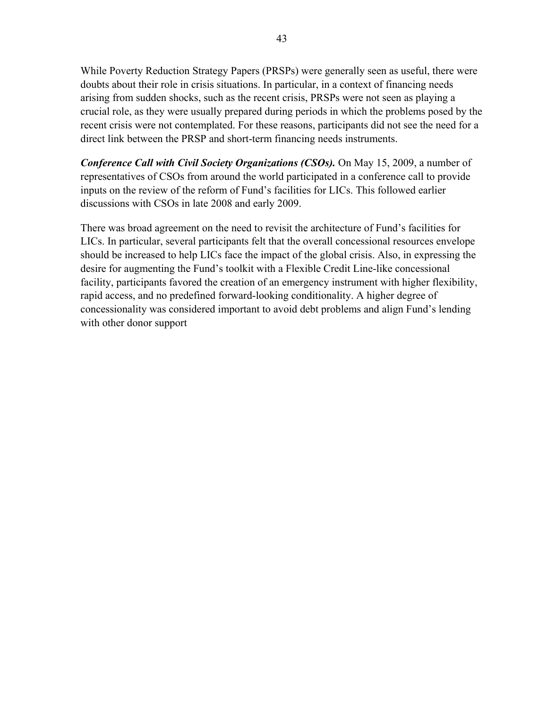While Poverty Reduction Strategy Papers (PRSPs) were generally seen as useful, there were doubts about their role in crisis situations. In particular, in a context of financing needs arising from sudden shocks, such as the recent crisis, PRSPs were not seen as playing a crucial role, as they were usually prepared during periods in which the problems posed by the recent crisis were not contemplated. For these reasons, participants did not see the need for a direct link between the PRSP and short-term financing needs instruments.

*Conference Call with Civil Society Organizations (CSOs).* On May 15, 2009, a number of representatives of CSOs from around the world participated in a conference call to provide inputs on the review of the reform of Fund's facilities for LICs. This followed earlier discussions with CSOs in late 2008 and early 2009.

There was broad agreement on the need to revisit the architecture of Fund's facilities for LICs. In particular, several participants felt that the overall concessional resources envelope should be increased to help LICs face the impact of the global crisis. Also, in expressing the desire for augmenting the Fund's toolkit with a Flexible Credit Line-like concessional facility, participants favored the creation of an emergency instrument with higher flexibility, rapid access, and no predefined forward-looking conditionality. A higher degree of concessionality was considered important to avoid debt problems and align Fund's lending with other donor support